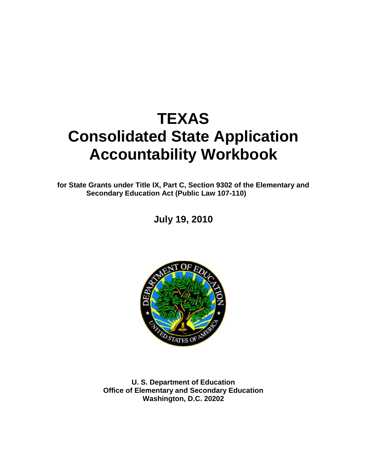# **TEXAS Consolidated State Application Accountability Workbook**

**for State Grants under Title IX, Part C, Section 9302 of the Elementary and Secondary Education Act (Public Law 107-110)**

**July 19, 2010**



**U. S. Department of Education Office of Elementary and Secondary Education Washington, D.C. 20202**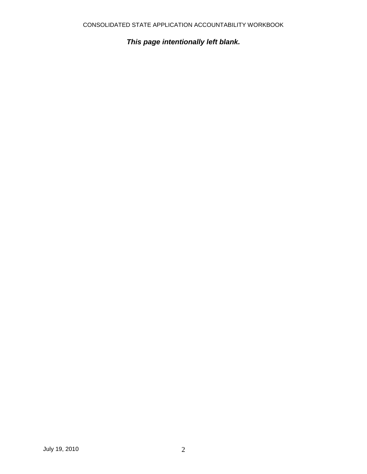# *This page intentionally left blank.*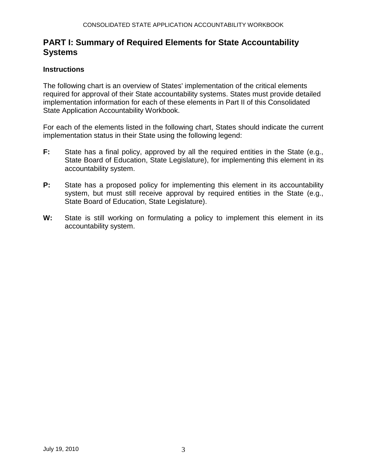# **PART I: Summary of Required Elements for State Accountability Systems**

# **Instructions**

The following chart is an overview of States' implementation of the critical elements required for approval of their State accountability systems. States must provide detailed implementation information for each of these elements in Part II of this Consolidated State Application Accountability Workbook.

For each of the elements listed in the following chart, States should indicate the current implementation status in their State using the following legend:

- **F:** State has a final policy, approved by all the required entities in the State (e.g., State Board of Education, State Legislature), for implementing this element in its accountability system.
- **P:** State has a proposed policy for implementing this element in its accountability system, but must still receive approval by required entities in the State (e.g., State Board of Education, State Legislature).
- **W:** State is still working on formulating a policy to implement this element in its accountability system.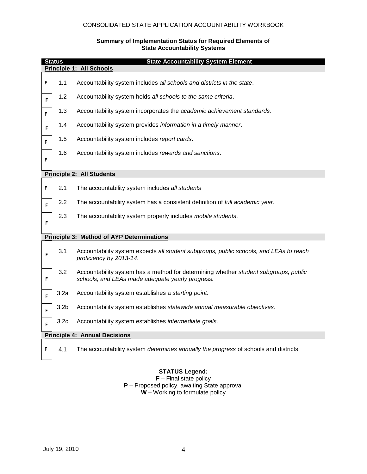#### CONSOLIDATED STATE APPLICATION ACCOUNTABILITY WORKBOOK

#### **Summary of Implementation Status for Required Elements of State Accountability Systems**

|   | <b>Status</b><br><b>State Accountability System Element</b> |                                                                                                                                          |  |  |  |  |
|---|-------------------------------------------------------------|------------------------------------------------------------------------------------------------------------------------------------------|--|--|--|--|
|   | <b>Principle 1: All Schools</b>                             |                                                                                                                                          |  |  |  |  |
| F | 1.1                                                         | Accountability system includes all schools and districts in the state.                                                                   |  |  |  |  |
| F | 1.2                                                         | Accountability system holds all schools to the same criteria.                                                                            |  |  |  |  |
| F | 1.3                                                         | Accountability system incorporates the academic achievement standards.                                                                   |  |  |  |  |
| F | 1.4                                                         | Accountability system provides information in a timely manner.                                                                           |  |  |  |  |
| F | 1.5                                                         | Accountability system includes report cards.                                                                                             |  |  |  |  |
| F | 1.6                                                         | Accountability system includes rewards and sanctions.                                                                                    |  |  |  |  |
|   |                                                             | <b>Principle 2: All Students</b>                                                                                                         |  |  |  |  |
| F | 2.1                                                         | The accountability system includes all students                                                                                          |  |  |  |  |
| F | 2.2                                                         | The accountability system has a consistent definition of full academic year.                                                             |  |  |  |  |
| F | 2.3                                                         | The accountability system properly includes mobile students.                                                                             |  |  |  |  |
|   |                                                             | <b>Principle 3: Method of AYP Determinations</b>                                                                                         |  |  |  |  |
| F | 3.1                                                         | Accountability system expects all student subgroups, public schools, and LEAs to reach<br>proficiency by 2013-14.                        |  |  |  |  |
| F | 3.2                                                         | Accountability system has a method for determining whether student subgroups, public<br>schools, and LEAs made adequate yearly progress. |  |  |  |  |
| F | 3.2a                                                        | Accountability system establishes a starting point.                                                                                      |  |  |  |  |
| F | 3.2 <sub>b</sub>                                            | Accountability system establishes statewide annual measurable objectives.                                                                |  |  |  |  |
| F | 3.2 <sub>c</sub>                                            | Accountability system establishes intermediate goals.                                                                                    |  |  |  |  |
|   |                                                             | <b>Principle 4: Annual Decisions</b>                                                                                                     |  |  |  |  |
| F | 4.1                                                         | The accountability system determines annually the progress of schools and districts.                                                     |  |  |  |  |

#### **STATUS Legend:**

**F** – Final state policy **P** – Proposed policy, awaiting State approval **W** – Working to formulate policy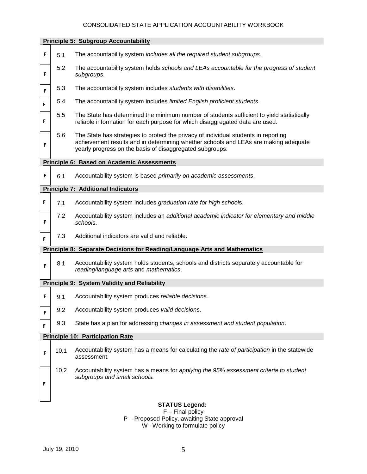#### CONSOLIDATED STATE APPLICATION ACCOUNTABILITY WORKBOOK

|    |      | <b>Principle 5: Subgroup Accountability</b>                                                                                                                                                                                            |
|----|------|----------------------------------------------------------------------------------------------------------------------------------------------------------------------------------------------------------------------------------------|
| F. | 5.1  | The accountability system includes all the required student subgroups.                                                                                                                                                                 |
| F  | 5.2  | The accountability system holds schools and LEAs accountable for the progress of student<br>subgroups.                                                                                                                                 |
| F. | 5.3  | The accountability system includes students with disabilities.                                                                                                                                                                         |
| F  | 5.4  | The accountability system includes limited English proficient students.                                                                                                                                                                |
| F  | 5.5  | The State has determined the minimum number of students sufficient to yield statistically<br>reliable information for each purpose for which disaggregated data are used.                                                              |
| F  | 5.6  | The State has strategies to protect the privacy of individual students in reporting<br>achievement results and in determining whether schools and LEAs are making adequate<br>yearly progress on the basis of disaggregated subgroups. |
|    |      | Principle 6: Based on Academic Assessments                                                                                                                                                                                             |
| F  | 6.1  | Accountability system is based primarily on academic assessments.                                                                                                                                                                      |
|    |      | <b>Principle 7: Additional Indicators</b>                                                                                                                                                                                              |
| F. | 7.1  | Accountability system includes graduation rate for high schools.                                                                                                                                                                       |
| F  | 7.2  | Accountability system includes an additional academic indicator for elementary and middle<br>schools.                                                                                                                                  |
| F  | 7.3  | Additional indicators are valid and reliable.                                                                                                                                                                                          |
|    |      | <b>Principle 8: Separate Decisions for Reading/Language Arts and Mathematics</b>                                                                                                                                                       |
| F  | 8.1  | Accountability system holds students, schools and districts separately accountable for<br>reading/language arts and mathematics.                                                                                                       |
|    |      | <b>Principle 9: System Validity and Reliability</b>                                                                                                                                                                                    |
| F  | 9.1  | Accountability system produces reliable decisions.                                                                                                                                                                                     |
| F  | 9.2  | Accountability system produces valid decisions.                                                                                                                                                                                        |
| F  | 9.3  | State has a plan for addressing changes in assessment and student population.                                                                                                                                                          |
|    |      | <b>Principle 10: Participation Rate</b>                                                                                                                                                                                                |
| F  | 10.1 | Accountability system has a means for calculating the rate of participation in the statewide<br>assessment.                                                                                                                            |
|    | 10.2 | Accountability system has a means for applying the 95% assessment criteria to student<br>subgroups and small schools.                                                                                                                  |
| F  |      |                                                                                                                                                                                                                                        |

#### **STATUS Legend:**

F – Final policy P – Proposed Policy, awaiting State approval W– Working to formulate policy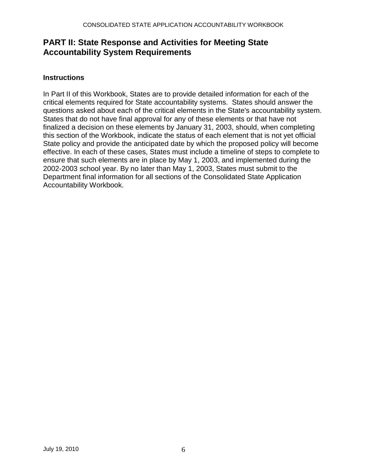# **PART II: State Response and Activities for Meeting State Accountability System Requirements**

# **Instructions**

In Part II of this Workbook, States are to provide detailed information for each of the critical elements required for State accountability systems. States should answer the questions asked about each of the critical elements in the State's accountability system. States that do not have final approval for any of these elements or that have not finalized a decision on these elements by January 31, 2003, should, when completing this section of the Workbook, indicate the status of each element that is not yet official State policy and provide the anticipated date by which the proposed policy will become effective. In each of these cases, States must include a timeline of steps to complete to ensure that such elements are in place by May 1, 2003, and implemented during the 2002-2003 school year. By no later than May 1, 2003, States must submit to the Department final information for all sections of the Consolidated State Application Accountability Workbook.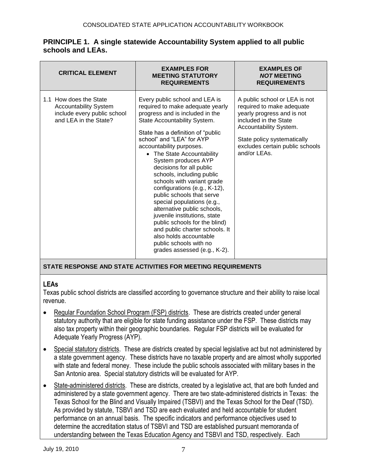| <b>CRITICAL ELEMENT</b>                                                                                        | <b>EXAMPLES FOR</b><br><b>MEETING STATUTORY</b><br><b>REQUIREMENTS</b>                                                                                                                                                                                                                                                                                                                                                                                                                                                                                                                                                                                                                           | <b>EXAMPLES OF</b><br><b>NOT MEETING</b><br><b>REQUIREMENTS</b>                                                                                                                                                               |
|----------------------------------------------------------------------------------------------------------------|--------------------------------------------------------------------------------------------------------------------------------------------------------------------------------------------------------------------------------------------------------------------------------------------------------------------------------------------------------------------------------------------------------------------------------------------------------------------------------------------------------------------------------------------------------------------------------------------------------------------------------------------------------------------------------------------------|-------------------------------------------------------------------------------------------------------------------------------------------------------------------------------------------------------------------------------|
| 1.1 How does the State<br><b>Accountability System</b><br>include every public school<br>and LEA in the State? | Every public school and LEA is<br>required to make adequate yearly<br>progress and is included in the<br>State Accountability System.<br>State has a definition of "public<br>school" and "LEA" for AYP<br>accountability purposes.<br>• The State Accountability<br>System produces AYP<br>decisions for all public<br>schools, including public<br>schools with variant grade<br>configurations (e.g., K-12),<br>public schools that serve<br>special populations (e.g.,<br>alternative public schools,<br>juvenile institutions, state<br>public schools for the blind)<br>and public charter schools. It<br>also holds accountable<br>public schools with no<br>grades assessed (e.g., K-2). | A public school or LEA is not<br>required to make adequate<br>yearly progress and is not<br>included in the State<br>Accountability System.<br>State policy systematically<br>excludes certain public schools<br>and/or LEAs. |

## **PRINCIPLE 1. A single statewide Accountability System applied to all public schools and LEAs.**

# **STATE RESPONSE AND STATE ACTIVITIES FOR MEETING REQUIREMENTS**

# **LEAs**

Texas public school districts are classified according to governance structure and their ability to raise local revenue.

- Regular Foundation School Program (FSP) districts. These are districts created under general statutory authority that are eligible for state funding assistance under the FSP. These districts may also tax property within their geographic boundaries. Regular FSP districts will be evaluated for Adequate Yearly Progress (AYP).
- Special statutory districts. These are districts created by special legislative act but not administered by a state government agency. These districts have no taxable property and are almost wholly supported with state and federal money. These include the public schools associated with military bases in the San Antonio area. Special statutory districts will be evaluated for AYP.
- State-administered districts. These are districts, created by a legislative act, that are both funded and administered by a state government agency. There are two state-administered districts in Texas: the Texas School for the Blind and Visually Impaired (TSBVI) and the Texas School for the Deaf (TSD). As provided by statute, TSBVI and TSD are each evaluated and held accountable for student performance on an annual basis. The specific indicators and performance objectives used to determine the accreditation status of TSBVI and TSD are established pursuant memoranda of understanding between the Texas Education Agency and TSBVI and TSD, respectively. Each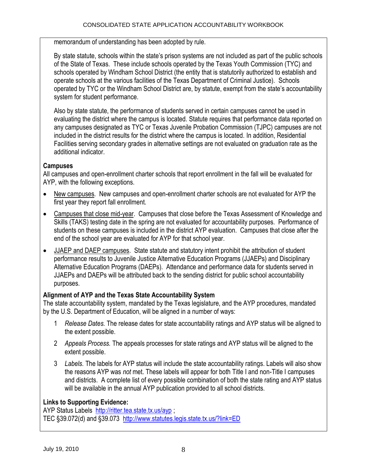memorandum of understanding has been adopted by rule.

By state statute, schools within the state's prison systems are not included as part of the public schools of the State of Texas. These include schools operated by the Texas Youth Commission (TYC) and schools operated by Windham School District (the entity that is statutorily authorized to establish and operate schools at the various facilities of the Texas Department of Criminal Justice). Schools operated by TYC or the Windham School District are, by statute, exempt from the state's accountability system for student performance.

Also by state statute, the performance of students served in certain campuses cannot be used in evaluating the district where the campus is located. Statute requires that performance data reported on any campuses designated as TYC or Texas Juvenile Probation Commission (TJPC) campuses are not included in the district results for the district where the campus is located. In addition, Residential Facilities serving secondary grades in alternative settings are not evaluated on graduation rate as the additional indicator.

# **Campuses**

All campuses and open-enrollment charter schools that report enrollment in the fall will be evaluated for AYP, with the following exceptions.

- New campuses. New campuses and open-enrollment charter schools are not evaluated for AYP the first year they report fall enrollment.
- Campuses that close mid-year. Campuses that close before the Texas Assessment of Knowledge and Skills (TAKS) testing date in the spring are not evaluated for accountability purposes. Performance of students on these campuses is included in the district AYP evaluation. Campuses that close after the end of the school year are evaluated for AYP for that school year.
- JJAEP and DAEP campuses. State statute and statutory intent prohibit the attribution of student performance results to Juvenile Justice Alternative Education Programs (JJAEPs) and Disciplinary Alternative Education Programs (DAEPs). Attendance and performance data for students served in JJAEPs and DAEPs will be attributed back to the sending district for public school accountability purposes.

# **Alignment of AYP and the Texas State Accountability System**

The state accountability system, mandated by the Texas legislature, and the AYP procedures, mandated by the U.S. Department of Education, will be aligned in a number of ways:

- 1 *Release Dates.* The release dates for state accountability ratings and AYP status will be aligned to the extent possible.
- 2 *Appeals Process.* The appeals processes for state ratings and AYP status will be aligned to the extent possible.
- 3 *Labels.* The labels for AYP status will include the state accountability ratings. Labels will also show the reasons AYP was *not* met. These labels will appear for both Title I and non-Title I campuses and districts. A complete list of every possible combination of both the state rating and AYP status will be available in the annual AYP publication provided to all school districts.

# **Links to Supporting Evidence:**

AYP Status Labels [http://ritter.tea.state.tx.us/ayp](http://ritter.tea.state.tx.us/ayp/index.html) ; TEC §39.072(d) and §39.073 <http://www.statutes.legis.state.tx.us/?link=ED>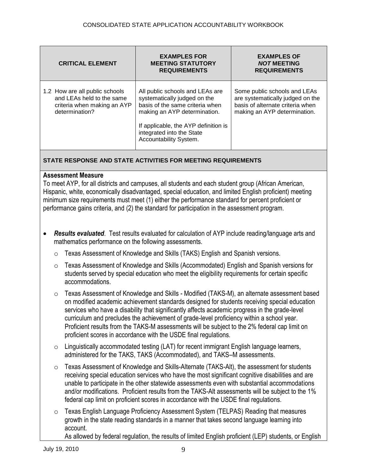| <b>CRITICAL ELEMENT</b>                                                                                      | <b>EXAMPLES FOR</b><br><b>MEETING STATUTORY</b><br><b>REQUIREMENTS</b>                                                                                                                                                            | <b>EXAMPLES OF</b><br><b>NOT MEETING</b><br><b>REQUIREMENTS</b>                                                                      |
|--------------------------------------------------------------------------------------------------------------|-----------------------------------------------------------------------------------------------------------------------------------------------------------------------------------------------------------------------------------|--------------------------------------------------------------------------------------------------------------------------------------|
| 1.2 How are all public schools<br>and LEAs held to the same<br>criteria when making an AYP<br>determination? | All public schools and LEAs are<br>systematically judged on the<br>basis of the same criteria when<br>making an AYP determination.<br>If applicable, the AYP definition is<br>integrated into the State<br>Accountability System. | Some public schools and LEAs<br>are systematically judged on the<br>basis of alternate criteria when<br>making an AYP determination. |

#### **Assessment Measure**

To meet AYP, for all districts and campuses, all students and each student group (African American, Hispanic, white, economically disadvantaged, special education, and limited English proficient) meeting minimum size requirements must meet (1) either the performance standard for percent proficient or performance gains criteria, and (2) the standard for participation in the assessment program.

- *Results evaluated*. Test results evaluated for calculation of AYP include reading/language arts and mathematics performance on the following assessments.
	- o Texas Assessment of Knowledge and Skills (TAKS) English and Spanish versions.
	- o Texas Assessment of Knowledge and Skills (Accommodated) English and Spanish versions for students served by special education who meet the eligibility requirements for certain specific accommodations.
	- o Texas Assessment of Knowledge and Skills Modified (TAKS-M), an alternate assessment based on modified academic achievement standards designed for students receiving special education services who have a disability that significantly affects academic progress in the grade-level curriculum and precludes the achievement of grade-level proficiency within a school year. Proficient results from the TAKS-M assessments will be subject to the 2% federal cap limit on proficient scores in accordance with the USDE final regulations.
	- $\circ$  Linguistically accommodated testing (LAT) for recent immigrant English language learners, administered for the TAKS, TAKS (Accommodated), and TAKS–M assessments.
	- o Texas Assessment of Knowledge and Skills-Alternate (TAKS-Alt), the assessment for students receiving special education services who have the most significant cognitive disabilities and are unable to participate in the other statewide assessments even with substantial accommodations and/or modifications. Proficient results from the TAKS-Alt assessments will be subject to the 1% federal cap limit on proficient scores in accordance with the USDE final regulations.
	- o Texas English Language Proficiency Assessment System (TELPAS) Reading that measures growth in the state reading standards in a manner that takes second language learning into account.

As allowed by federal regulation, the results of limited English proficient (LEP) students, or English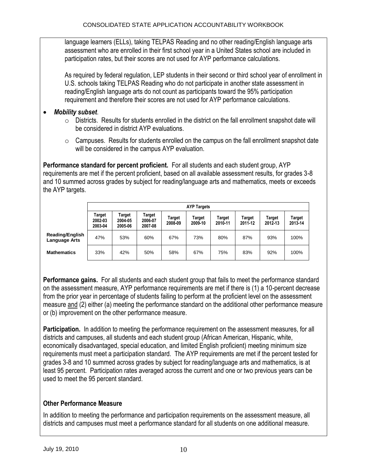language learners (ELLs), taking TELPAS Reading and no other reading/English language arts assessment who are enrolled in their first school year in a United States school are included in participation rates, but their scores are not used for AYP performance calculations.

As required by federal regulation, LEP students in their second or third school year of enrollment in U.S. schools taking TELPAS Reading who do not participate in another state assessment in reading/English language arts do not count as participants toward the 95% participation requirement and therefore their scores are not used for AYP performance calculations.

# *Mobility subset*.

- $\circ$  Districts. Results for students enrolled in the district on the fall enrollment snapshot date will be considered in district AYP evaluations.
- $\circ$  Campuses. Results for students enrolled on the campus on the fall enrollment snapshot date will be considered in the campus AYP evaluation.

**Performance standard for percent proficient.** For all students and each student group, AYP requirements are met if the percent proficient, based on all available assessment results, for grades 3-8 and 10 summed across grades by subject for reading/language arts and mathematics, meets or exceeds the AYP targets.

|                                         | <b>AYP Targets</b>           |                              |                              |                   |                   |                   |                   |                   |                   |
|-----------------------------------------|------------------------------|------------------------------|------------------------------|-------------------|-------------------|-------------------|-------------------|-------------------|-------------------|
|                                         | Target<br>2002-03<br>2003-04 | Target<br>2004-05<br>2005-06 | Target<br>2006-07<br>2007-08 | Target<br>2008-09 | Target<br>2009-10 | Target<br>2010-11 | Target<br>2011-12 | Target<br>2012-13 | Target<br>2013-14 |
| <b>Reading/English</b><br>Language Arts | 47%                          | 53%                          | 60%                          | 67%               | 73%               | 80%               | 87%               | 93%               | 100%              |
| <b>Mathematics</b>                      | 33%                          | 42%                          | 50%                          | 58%               | 67%               | 75%               | 83%               | 92%               | 100%              |

**Performance gains.** For all students and each student group that fails to meet the performance standard on the assessment measure, AYP performance requirements are met if there is (1) a 10-percent decrease from the prior year in percentage of students failing to perform at the proficient level on the assessment measure and (2) either (a) meeting the performance standard on the additional other performance measure or (b) improvement on the other performance measure.

**Participation.** In addition to meeting the performance requirement on the assessment measures, for all districts and campuses, all students and each student group (African American, Hispanic, white, economically disadvantaged, special education, and limited English proficient) meeting minimum size requirements must meet a participation standard. The AYP requirements are met if the percent tested for grades 3-8 and 10 summed across grades by subject for reading/language arts and mathematics, is at least 95 percent. Participation rates averaged across the current and one or two previous years can be used to meet the 95 percent standard.

# **Other Performance Measure**

In addition to meeting the performance and participation requirements on the assessment measure, all districts and campuses must meet a performance standard for all students on one additional measure.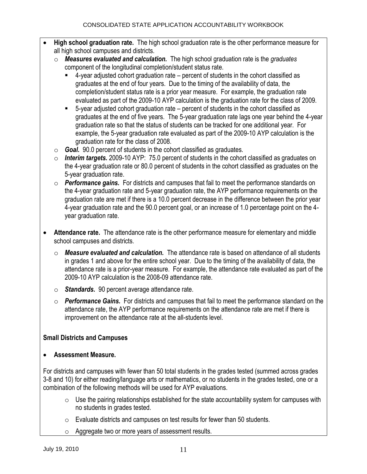- **High school graduation rate.** The high school graduation rate is the other performance measure for all high school campuses and districts.
	- o *Measures evaluated and calculation.* The high school graduation rate is the *graduates* component of the longitudinal completion/student status rate.
		- 4-year adjusted cohort graduation rate percent of students in the cohort classified as graduates at the end of four years. Due to the timing of the availability of data, the completion/student status rate is a prior year measure. For example, the graduation rate evaluated as part of the 2009-10 AYP calculation is the graduation rate for the class of 2009.
		- 5-year adjusted cohort graduation rate percent of students in the cohort classified as graduates at the end of five years. The 5-year graduation rate lags one year behind the 4-year graduation rate so that the status of students can be tracked for one additional year. For example, the 5-year graduation rate evaluated as part of the 2009-10 AYP calculation is the graduation rate for the class of 2008.
	- o *Goal.* 90.0 percent of students in the cohort classified as graduates.
	- o *Interim targets.* 2009-10 AYP: 75.0 percent of students in the cohort classified as graduates on the 4-year graduation rate or 80.0 percent of students in the cohort classified as graduates on the 5-year graduation rate.
	- o *Performance gains.* For districts and campuses that fail to meet the performance standards on the 4-year graduation rate and 5-year graduation rate, the AYP performance requirements on the graduation rate are met if there is a 10.0 percent decrease in the difference between the prior year 4-year graduation rate and the 90.0 percent goal, or an increase of 1.0 percentage point on the 4 year graduation rate.
- **Attendance rate.** The attendance rate is the other performance measure for elementary and middle school campuses and districts.
	- o *Measure evaluated and calculation.* The attendance rate is based on attendance of all students in grades 1 and above for the entire school year. Due to the timing of the availability of data, the attendance rate is a prior-year measure. For example, the attendance rate evaluated as part of the 2009-10 AYP calculation is the 2008-09 attendance rate.
	- o *Standards.* 90 percent average attendance rate.
	- o *Performance Gains.* For districts and campuses that fail to meet the performance standard on the attendance rate, the AYP performance requirements on the attendance rate are met if there is improvement on the attendance rate at the all-students level.

# **Small Districts and Campuses**

# **Assessment Measure.**

For districts and campuses with fewer than 50 total students in the grades tested (summed across grades 3-8 and 10) for either reading/language arts or mathematics, or no students in the grades tested, one or a combination of the following methods will be used for AYP evaluations.

- $\circ$  Use the pairing relationships established for the state accountability system for campuses with no students in grades tested.
- o Evaluate districts and campuses on test results for fewer than 50 students.
- o Aggregate two or more years of assessment results.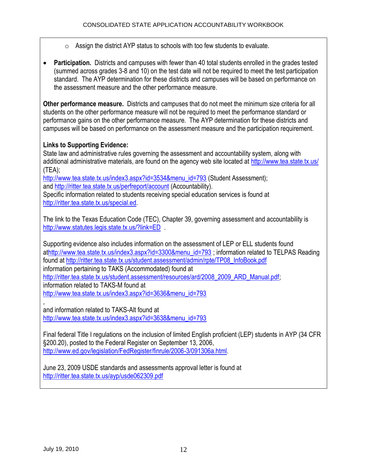- $\circ$  Assign the district AYP status to schools with too few students to evaluate.
- **Participation.** Districts and campuses with fewer than 40 total students enrolled in the grades tested (summed across grades 3-8 and 10) on the test date will not be required to meet the test participation standard. The AYP determination for these districts and campuses will be based on performance on the assessment measure and the other performance measure.

**Other performance measure.** Districts and campuses that do not meet the minimum size criteria for all students on the other performance measure will not be required to meet the performance standard or performance gains on the other performance measure. The AYP determination for these districts and campuses will be based on performance on the assessment measure and the participation requirement.

# **Links to Supporting Evidence:**

State law and administrative rules governing the assessment and accountability system, along with additional administrative materials, are found on the agency web site located at<http://www.tea.state.tx.us/> (TEA);

[http://www.tea.state.tx.us/index3.aspx?id=3534&menu\\_id=793](http://www.tea.state.tx.us/index3.aspx?id=3534&menu_id=793) (Student Assessment);

and<http://ritter.tea.state.tx.us/perfreport/account> (Accountability).

Specific information related to students receiving special education services is found at [http://ritter.tea.state.tx.us/special.ed.](http://ritter.tea.state.tx.us/special.ed)

The link to the Texas Education Code (TEC), Chapter 39, governing assessment and accountability is <http://www.statutes.legis.state.tx.us/?link=ED>.

Supporting evidence also includes information on the assessment of LEP or ELL students found a[thttp://www.tea.state.tx.us/index3.aspx?id=3300&menu\\_id=793](http://www.tea.state.tx.us/index3.aspx?id=3300&menu_id=793) ; information related to TELPAS Reading found at [http://ritter.tea.state.tx.us/student.assessment/admin/rpte/TP08\\_InfoBook.pdf](http://ritter.tea.state.tx.us/student.assessment/admin/rpte/TP08_InfoBook.pdf) information pertaining to TAKS (Accommodated) found at [http://ritter.tea.state.tx.us/student.assessment/resources/ard/2008\\_2009\\_ARD\\_Manual.pdf;](http://ritter.tea.state.tx.us/student.assessment/resources/ard/2008_2009_ARD_Manual.pdf) information related to TAKS-M found at [http://www.tea.state.tx.us/index3.aspx?id=3636&menu\\_id=793](http://www.tea.state.tx.us/index3.aspx?id=3636&menu_id=793)

, and information related to TAKS-Alt found at [http://www.tea.state.tx.us/index3.aspx?id=3638&menu\\_id=793](http://www.tea.state.tx.us/index3.aspx?id=3638&menu_id=793)

Final federal Title I regulations on the inclusion of limited English proficient (LEP) students in AYP (34 CFR §200.20), posted to the Federal Register on September 13, 2006, [http://www.ed.gov/legislation/FedRegister/finrule/2006-3/091306a.html.](http://www.ed.gov/legislation/FedRegister/finrule/2006-3/091306a.html)

June 23, 2009 USDE standards and assessments approval letter is found at <http://ritter.tea.state.tx.us/ayp/usde062309.pdf>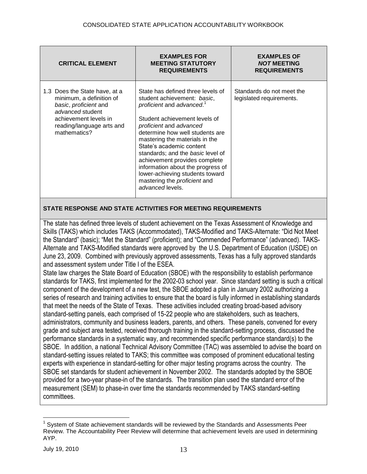| <b>CRITICAL ELEMENT</b>                                                                                                                                                      | <b>EXAMPLES FOR</b><br><b>MEETING STATUTORY</b><br><b>REQUIREMENTS</b>                                                                                                                                                                                                                                                                                                                                                                                                          | <b>EXAMPLES OF</b><br><b>NOT MEETING</b><br><b>REQUIREMENTS</b> |
|------------------------------------------------------------------------------------------------------------------------------------------------------------------------------|---------------------------------------------------------------------------------------------------------------------------------------------------------------------------------------------------------------------------------------------------------------------------------------------------------------------------------------------------------------------------------------------------------------------------------------------------------------------------------|-----------------------------------------------------------------|
| 1.3 Does the State have, at a<br>minimum, a definition of<br>basic, proficient and<br>advanced student<br>achievement levels in<br>reading/language arts and<br>mathematics? | State has defined three levels of<br>student achievement: basic,<br>proficient and advanced. <sup>1</sup><br>Student achievement levels of<br>proficient and advanced<br>determine how well students are<br>mastering the materials in the<br>State's academic content<br>standards; and the basic level of<br>achievement provides complete<br>information about the progress of<br>lower-achieving students toward<br>mastering the <i>proficient</i> and<br>advanced levels. | Standards do not meet the<br>legislated requirements.           |

The state has defined three levels of student achievement on the Texas Assessment of Knowledge and Skills (TAKS) which includes TAKS (Accommodated), TAKS-Modified and TAKS-Alternate: "Did Not Meet the Standard" (basic); "Met the Standard" (proficient); and "Commended Performance" (advanced). TAKS-Alternate and TAKS-Modified standards were approved by the U.S. Department of Education (USDE) on June 23, 2009. Combined with previously approved assessments, Texas has a fully approved standards and assessment system under Title I of the ESEA.

State law charges the State Board of Education (SBOE) with the responsibility to establish performance standards for TAKS, first implemented for the 2002-03 school year. Since standard setting is such a critical component of the development of a new test, the SBOE adopted a plan in January 2002 authorizing a series of research and training activities to ensure that the board is fully informed in establishing standards that meet the needs of the State of Texas. These activities included creating broad-based advisory standard-setting panels, each comprised of 15-22 people who are stakeholders, such as teachers, administrators, community and business leaders, parents, and others. These panels, convened for every grade and subject area tested, received thorough training in the standard-setting process, discussed the performance standards in a systematic way, and recommended specific performance standard(s) to the SBOE. In addition, a national Technical Advisory Committee (TAC) was assembled to advise the board on standard-setting issues related to TAKS; this committee was composed of prominent educational testing experts with experience in standard-setting for other major testing programs across the country. The SBOE set standards for student achievement in November 2002. The standards adopted by the SBOE provided for a two-year phase-in of the standards. The transition plan used the standard error of the measurement (SEM) to phase-in over time the standards recommended by TAKS standard-setting committees.

 $\overline{a}$ 

 $1$  System of State achievement standards will be reviewed by the Standards and Assessments Peer Review. The Accountability Peer Review will determine that achievement levels are used in determining AYP.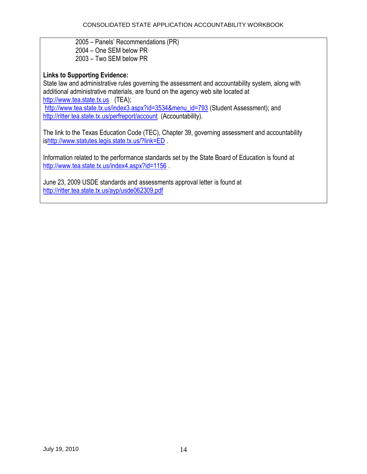2005 – Panels' Recommendations (PR) 2004 – One SEM below PR 2003 – Two SEM below PR

## **Links to Supporting Evidence:**

State law and administrative rules governing the assessment and accountability system, along with additional administrative materials, are found on the agency web site located at [http://www.tea.state.tx.us](http://www.tea.state.tx.us/) (TEA); [http://www.tea.state.tx.us/index3.aspx?id=3534&menu\\_id=793](http://www.tea.state.tx.us/index3.aspx?id=3534&menu_id=793) (Student Assessment); and <http://ritter.tea.state.tx.us/perfreport/account> (Accountability).

The link to the Texas Education Code (TEC), Chapter 39, governing assessment and accountability i[shttp://www.statutes.legis.state.tx.us/?link=ED](http://www.statutes.legis.state.tx.us/?link=ED) .

Information related to the performance standards set by the State Board of Education is found at <http://www.tea.state.tx.us/index4.aspx?id=1156>

June 23, 2009 USDE standards and assessments approval letter is found at <http://ritter.tea.state.tx.us/ayp/usde062309.pdf>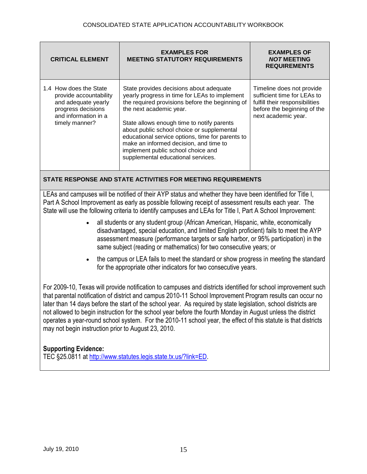| <b>CRITICAL ELEMENT</b>                                                                                                                 | <b>EXAMPLES FOR</b><br><b>MEETING STATUTORY REQUIREMENTS</b>                                                                                                                                                                                                                                                                                                                                                                                 | <b>EXAMPLES OF</b><br><b>NOT MEETING</b><br><b>REQUIREMENTS</b>                                                                                  |
|-----------------------------------------------------------------------------------------------------------------------------------------|----------------------------------------------------------------------------------------------------------------------------------------------------------------------------------------------------------------------------------------------------------------------------------------------------------------------------------------------------------------------------------------------------------------------------------------------|--------------------------------------------------------------------------------------------------------------------------------------------------|
| 1.4 How does the State<br>provide accountability<br>and adequate yearly<br>progress decisions<br>and information in a<br>timely manner? | State provides decisions about adequate<br>yearly progress in time for LEAs to implement<br>the required provisions before the beginning of<br>the next academic year.<br>State allows enough time to notify parents<br>about public school choice or supplemental<br>educational service options, time for parents to<br>make an informed decision, and time to<br>implement public school choice and<br>supplemental educational services. | Timeline does not provide<br>sufficient time for LEAs to<br>fulfill their responsibilities<br>before the beginning of the<br>next academic year. |

LEAs and campuses will be notified of their AYP status and whether they have been identified for Title I, Part A School Improvement as early as possible following receipt of assessment results each year. The State will use the following criteria to identify campuses and LEAs for Title I, Part A School Improvement:

- all students or any student group (African American, Hispanic, white, economically disadvantaged, special education, and limited English proficient) fails to meet the AYP assessment measure (performance targets or safe harbor, or 95% participation) in the same subject (reading or mathematics) for two consecutive years; or
- the campus or LEA fails to meet the standard or show progress in meeting the standard for the appropriate other indicators for two consecutive years.

For 2009-10, Texas will provide notification to campuses and districts identified for school improvement such that parental notification of district and campus 2010-11 School Improvement Program results can occur no later than 14 days before the start of the school year. As required by state legislation, school districts are not allowed to begin instruction for the school year before the fourth Monday in August unless the district operates a year-round school system. For the 2010-11 school year, the effect of this statute is that districts may not begin instruction prior to August 23, 2010.

## **Supporting Evidence:**

TEC §25.0811 at [http://www.statutes.legis.state.tx.us/?link=ED.](http://www.statutes.legis.state.tx.us/?link=ED)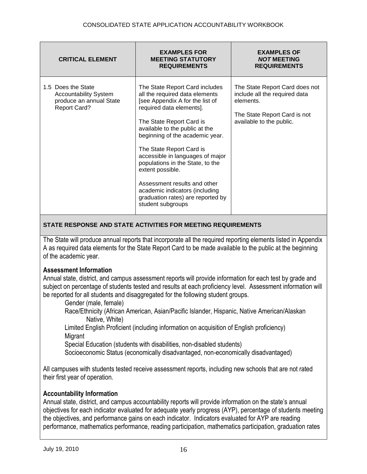| <b>CRITICAL ELEMENT</b>                                                                              | <b>EXAMPLES FOR</b><br><b>MEETING STATUTORY</b><br><b>REQUIREMENTS</b>                                                                                                                                                                                                                                                                                                                                                                                                               | <b>EXAMPLES OF</b><br><b>NOT MEETING</b><br><b>REQUIREMENTS</b>                                                                          |
|------------------------------------------------------------------------------------------------------|--------------------------------------------------------------------------------------------------------------------------------------------------------------------------------------------------------------------------------------------------------------------------------------------------------------------------------------------------------------------------------------------------------------------------------------------------------------------------------------|------------------------------------------------------------------------------------------------------------------------------------------|
| 1.5 Does the State<br><b>Accountability System</b><br>produce an annual State<br><b>Report Card?</b> | The State Report Card includes<br>all the required data elements<br>[see Appendix A for the list of<br>required data elements].<br>The State Report Card is<br>available to the public at the<br>beginning of the academic year.<br>The State Report Card is<br>accessible in languages of major<br>populations in the State, to the<br>extent possible.<br>Assessment results and other<br>academic indicators (including<br>graduation rates) are reported by<br>student subgroups | The State Report Card does not<br>include all the required data<br>elements.<br>The State Report Card is not<br>available to the public. |

The State will produce annual reports that incorporate all the required reporting elements listed in Appendix A as required data elements for the State Report Card to be made available to the public at the beginning of the academic year.

## **Assessment Information**

Annual state, district, and campus assessment reports will provide information for each test by grade and subject on percentage of students tested and results at each proficiency level. Assessment information will be reported for all students and disaggregated for the following student groups.

Gender (male, female) Race/Ethnicity (African American, Asian/Pacific Islander, Hispanic, Native American/Alaskan Native, White)

Limited English Proficient (including information on acquisition of English proficiency) Migrant

Special Education (students with disabilities, non-disabled students)

Socioeconomic Status (economically disadvantaged, non-economically disadvantaged)

All campuses with students tested receive assessment reports, including new schools that are not rated their first year of operation.

## **Accountability Information**

Annual state, district, and campus accountability reports will provide information on the state's annual objectives for each indicator evaluated for adequate yearly progress (AYP), percentage of students meeting the objectives, and performance gains on each indicator. Indicators evaluated for AYP are reading performance, mathematics performance, reading participation, mathematics participation, graduation rates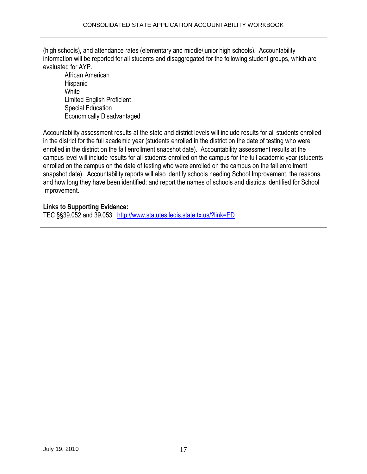(high schools), and attendance rates (elementary and middle/junior high schools). Accountability information will be reported for all students and disaggregated for the following student groups, which are evaluated for AYP.

African American **Hispanic White** Limited English Proficient Special Education Economically Disadvantaged

Accountability assessment results at the state and district levels will include results for all students enrolled in the district for the full academic year (students enrolled in the district on the date of testing who were enrolled in the district on the fall enrollment snapshot date). Accountability assessment results at the campus level will include results for all students enrolled on the campus for the full academic year (students enrolled on the campus on the date of testing who were enrolled on the campus on the fall enrollment snapshot date). Accountability reports will also identify schools needing School Improvement, the reasons, and how long they have been identified; and report the names of schools and districts identified for School Improvement.

# **Links to Supporting Evidence:**

TEC §§39.052 and 39.053 <http://www.statutes.legis.state.tx.us/?link=ED>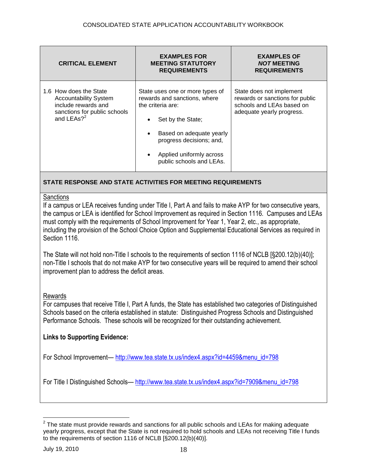| <b>CRITICAL ELEMENT</b>                                                                                                         | <b>EXAMPLES FOR</b><br><b>MEETING STATUTORY</b><br><b>REQUIREMENTS</b>                                                                                                                                                    | <b>EXAMPLES OF</b><br><b>NOT MEETING</b><br><b>REQUIREMENTS</b>                                                       |
|---------------------------------------------------------------------------------------------------------------------------------|---------------------------------------------------------------------------------------------------------------------------------------------------------------------------------------------------------------------------|-----------------------------------------------------------------------------------------------------------------------|
| 1.6 How does the State<br><b>Accountability System</b><br>include rewards and<br>sanctions for public schools<br>and LEAs $?^2$ | State uses one or more types of<br>rewards and sanctions, where<br>the criteria are:<br>Set by the State;<br>Based on adequate yearly<br>progress decisions; and,<br>Applied uniformly across<br>public schools and LEAs. | State does not implement<br>rewards or sanctions for public<br>schools and LEAs based on<br>adequate yearly progress. |

#### **Sanctions**

If a campus or LEA receives funding under Title I, Part A and fails to make AYP for two consecutive years, the campus or LEA is identified for School Improvement as required in Section 1116. Campuses and LEAs must comply with the requirements of School Improvement for Year 1, Year 2, etc., as appropriate, including the provision of the School Choice Option and Supplemental Educational Services as required in Section 1116.

The State will not hold non-Title I schools to the requirements of section 1116 of NCLB [§200.12(b)(40)]; non-Title I schools that do not make AYP for two consecutive years will be required to amend their school improvement plan to address the deficit areas.

## Rewards

For campuses that receive Title I, Part A funds, the State has established two categories of Distinguished Schools based on the criteria established in statute: Distinguished Progress Schools and Distinguished Performance Schools. These schools will be recognized for their outstanding achievement.

# **Links to Supporting Evidence:**

For School Improvement— [http://www.tea.state.tx.us/index4.aspx?id=4459&menu\\_id=798](http://www.tea.state.tx.us/index4.aspx?id=4459&menu_id=798)

For Title I Distinguished Schools— [http://www.tea.state.tx.us/index4.aspx?id=7909&menu\\_id=798](http://www.tea.state.tx.us/index4.aspx?id=7909&menu_id=798)

 $\overline{a}$ 

 $2$  The state must provide rewards and sanctions for all public schools and LEAs for making adequate yearly progress, except that the State is not required to hold schools and LEAs not receiving Title I funds to the requirements of section 1116 of NCLB [§200.12(b)(40)].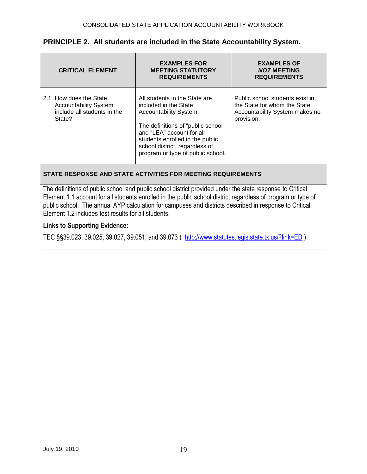| <b>CRITICAL ELEMENT</b>                                                                         | <b>EXAMPLES FOR</b><br><b>MEETING STATUTORY</b><br><b>REQUIREMENTS</b>                                                                                                                                                                                        | <b>EXAMPLES OF</b><br><b>NOT MEETING</b><br><b>REQUIREMENTS</b>                                                 |
|-------------------------------------------------------------------------------------------------|---------------------------------------------------------------------------------------------------------------------------------------------------------------------------------------------------------------------------------------------------------------|-----------------------------------------------------------------------------------------------------------------|
| 2.1 How does the State<br><b>Accountability System</b><br>include all students in the<br>State? | All students in the State are<br>included in the State<br>Accountability System.<br>The definitions of "public school"<br>and "LEA" account for all<br>students enrolled in the public<br>school district, regardless of<br>program or type of public school. | Public school students exist in<br>the State for whom the State<br>Accountability System makes no<br>provision. |

# **PRINCIPLE 2. All students are included in the State Accountability System.**

#### **STATE RESPONSE AND STATE ACTIVITIES FOR MEETING REQUIREMENTS**

The definitions of public school and public school district provided under the state response to Critical Element 1.1 account for all students enrolled in the public school district regardless of program or type of public school. The annual AYP calculation for campuses and districts described in response to Critical Element 1.2 includes test results for all students.

#### **Links to Supporting Evidence:**

TEC §§39.023, 39.025, 39.027, 39.051, and 39.073 ( <http://www.statutes.legis.state.tx.us/?link=ED> )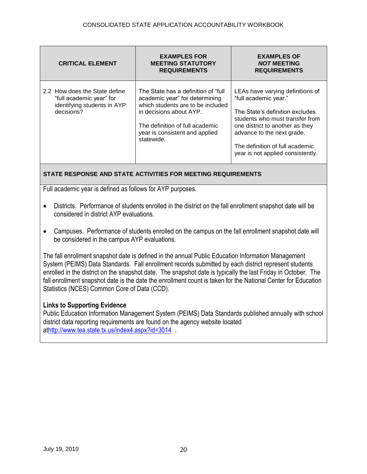| <b>CRITICAL ELEMENT</b>                                                                                | <b>EXAMPLES FOR</b><br><b>MEETING STATUTORY</b><br><b>REQUIREMENTS</b>                                                                                                                                                    | <b>EXAMPLES OF</b><br><b>NOT MEETING</b><br><b>REQUIREMENTS</b>                                                                                                                                                                                                          |
|--------------------------------------------------------------------------------------------------------|---------------------------------------------------------------------------------------------------------------------------------------------------------------------------------------------------------------------------|--------------------------------------------------------------------------------------------------------------------------------------------------------------------------------------------------------------------------------------------------------------------------|
| 2.2 How does the State define<br>"full academic year" for<br>identifying students in AYP<br>decisions? | The State has a definition of "full"<br>academic year" for determining<br>which students are to be included<br>in decisions about AYP.<br>The definition of full academic<br>year is consistent and applied<br>statewide. | LEAs have varying definitions of<br>"full academic year."<br>The State's definition excludes<br>students who must transfer from<br>one district to another as they<br>advance to the next grade.<br>The definition of full academic<br>year is not applied consistently. |

Full academic year is defined as follows for AYP purposes.

- Districts. Performance of students enrolled in the district on the fall enrollment snapshot date will be considered in district AYP evaluations.
- Campuses. Performance of students enrolled on the campus on the fall enrollment snapshot date will be considered in the campus AYP evaluations.

The fall enrollment snapshot date is defined in the annual Public Education Information Management System (PEIMS) Data Standards. Fall enrollment records submitted by each district represent students enrolled in the district on the snapshot date. The snapshot date is typically the last Friday in October. The fall enrollment snapshot date is the date the enrollment count is taken for the National Center for Education Statistics (NCES) Common Core of Data (CCD).

## **Links to Supporting Evidence**

Public Education Information Management System (PEIMS) Data Standards published annually with school district data reporting requirements are found on the agency website located a[thttp://www.tea.state.tx.us/index4.aspx?id=3014](http://www.tea.state.tx.us/index4.aspx?id=3014) .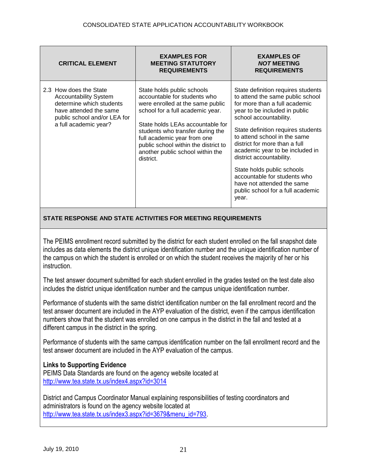| <b>CRITICAL ELEMENT</b>                                                                                                                                               | <b>EXAMPLES FOR</b><br><b>MEETING STATUTORY</b><br><b>REQUIREMENTS</b>                                                                                                                                                                                                                                                             | <b>EXAMPLES OF</b><br><b>NOT MEETING</b><br><b>REQUIREMENTS</b>                                                                                                                                                                                                                                                                                                                                                                                                                    |
|-----------------------------------------------------------------------------------------------------------------------------------------------------------------------|------------------------------------------------------------------------------------------------------------------------------------------------------------------------------------------------------------------------------------------------------------------------------------------------------------------------------------|------------------------------------------------------------------------------------------------------------------------------------------------------------------------------------------------------------------------------------------------------------------------------------------------------------------------------------------------------------------------------------------------------------------------------------------------------------------------------------|
| 2.3 How does the State<br><b>Accountability System</b><br>determine which students<br>have attended the same<br>public school and/or LEA for<br>a full academic year? | State holds public schools<br>accountable for students who<br>were enrolled at the same public<br>school for a full academic year.<br>State holds LEAs accountable for<br>students who transfer during the<br>full academic year from one<br>public school within the district to<br>another public school within the<br>district. | State definition requires students<br>to attend the same public school<br>for more than a full academic<br>year to be included in public<br>school accountability.<br>State definition requires students<br>to attend school in the same<br>district for more than a full<br>academic year to be included in<br>district accountability.<br>State holds public schools<br>accountable for students who<br>have not attended the same<br>public school for a full academic<br>year. |

The PEIMS enrollment record submitted by the district for each student enrolled on the fall snapshot date includes as data elements the district unique identification number and the unique identification number of the campus on which the student is enrolled or on which the student receives the majority of her or his instruction.

The test answer document submitted for each student enrolled in the grades tested on the test date also includes the district unique identification number and the campus unique identification number.

Performance of students with the same district identification number on the fall enrollment record and the test answer document are included in the AYP evaluation of the district, even if the campus identification numbers show that the student was enrolled on one campus in the district in the fall and tested at a different campus in the district in the spring.

Performance of students with the same campus identification number on the fall enrollment record and the test answer document are included in the AYP evaluation of the campus.

## **Links to Supporting Evidence**

PEIMS Data Standards are found on the agency website located at <http://www.tea.state.tx.us/index4.aspx?id=3014>

District and Campus Coordinator Manual explaining responsibilities of testing coordinators and administrators is found on the agency website located at [http://www.tea.state.tx.us/index3.aspx?id=3679&menu\\_id=793.](http://www.tea.state.tx.us/index3.aspx?id=3679&menu_id=793)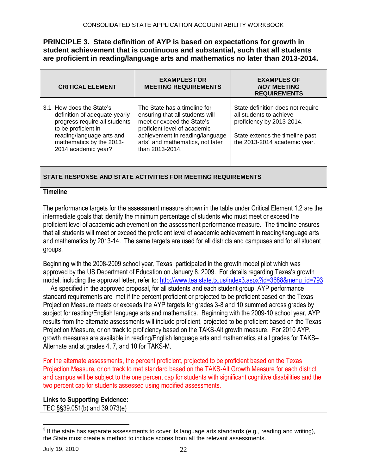## **PRINCIPLE 3. State definition of AYP is based on expectations for growth in student achievement that is continuous and substantial, such that all students are proficient in reading/language arts and mathematics no later than 2013-2014.**

| <b>CRITICAL ELEMENT</b>                                                                                                                                                                           | <b>EXAMPLES FOR</b><br><b>MEETING REQUIREMENTS</b>                                                                                                                                                                                  | <b>EXAMPLES OF</b><br><b>NOT MEETING</b><br><b>REQUIREMENTS</b>                                                                                              |
|---------------------------------------------------------------------------------------------------------------------------------------------------------------------------------------------------|-------------------------------------------------------------------------------------------------------------------------------------------------------------------------------------------------------------------------------------|--------------------------------------------------------------------------------------------------------------------------------------------------------------|
| 3.1 How does the State's<br>definition of adequate yearly<br>progress require all students<br>to be proficient in<br>reading/language arts and<br>mathematics by the 2013-<br>2014 academic year? | The State has a timeline for<br>ensuring that all students will<br>meet or exceed the State's<br>proficient level of academic<br>achievement in reading/language<br>arts <sup>3</sup> and mathematics, not later<br>than 2013-2014. | State definition does not require<br>all students to achieve<br>proficiency by 2013-2014.<br>State extends the timeline past<br>the 2013-2014 academic year. |

# **STATE RESPONSE AND STATE ACTIVITIES FOR MEETING REQUIREMENTS**

## **Timeline**

The performance targets for the assessment measure shown in the table under Critical Element 1.2 are the intermediate goals that identify the minimum percentage of students who must meet or exceed the proficient level of academic achievement on the assessment performance measure. The timeline ensures that all students will meet or exceed the proficient level of academic achievement in reading/language arts and mathematics by 2013-14. The same targets are used for all districts and campuses and for all student groups.

Beginning with the 2008-2009 school year, Texas participated in the growth model pilot which was approved by the US Department of Education on January 8, 2009. For details regarding Texas's growth model, including the approval letter, refer to[: http://www.tea.state.tx.us/index3.aspx?id=3688&menu\\_id=793](http://www.tea.state.tx.us/index3.aspx?id=3688&menu_id=793)

. As specified in the approved proposal, for all students and each student group, AYP performance standard requirements are met if the percent proficient or projected to be proficient based on the Texas Projection Measure meets or exceeds the AYP targets for grades 3-8 and 10 summed across grades by subject for reading/English language arts and mathematics. Beginning with the 2009-10 school year, AYP results from the alternate assessments will include proficient, projected to be proficient based on the Texas Projection Measure, or on track to proficiency based on the TAKS-Alt growth measure. For 2010 AYP, growth measures are available in reading/English language arts and mathematics at all grades for TAKS– Alternate and at grades 4, 7, and 10 for TAKS-M.

For the alternate assessments, the percent proficient, projected to be proficient based on the Texas Projection Measure, or on track to met standard based on the TAKS-Alt Growth Measure for each district and campus will be subject to the one percent cap for students with significant cognitive disabilities and the two percent cap for students assessed using modified assessments.

**Links to Supporting Evidence:** TEC §§39.051(b) and 39.073(e)

 $\overline{a}$ 

 $^3$  If the state has separate assessments to cover its language arts standards (e.g., reading and writing), the State must create a method to include scores from all the relevant assessments.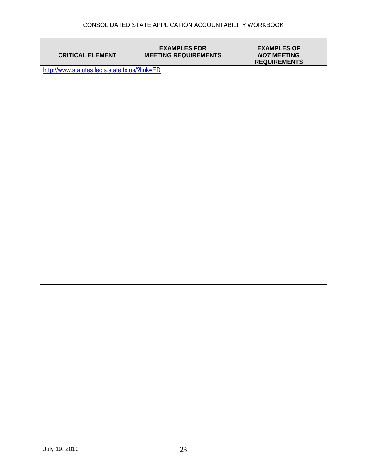| <b>CRITICAL ELEMENT</b>                        | <b>EXAMPLES FOR</b><br><b>MEETING REQUIREMENTS</b> | <b>EXAMPLES OF</b><br><b>NOT MEETING</b><br><b>REQUIREMENTS</b> |
|------------------------------------------------|----------------------------------------------------|-----------------------------------------------------------------|
| http://www.statutes.legis.state.tx.us/?link=ED |                                                    |                                                                 |
|                                                |                                                    |                                                                 |
|                                                |                                                    |                                                                 |
|                                                |                                                    |                                                                 |
|                                                |                                                    |                                                                 |
|                                                |                                                    |                                                                 |
|                                                |                                                    |                                                                 |
|                                                |                                                    |                                                                 |
|                                                |                                                    |                                                                 |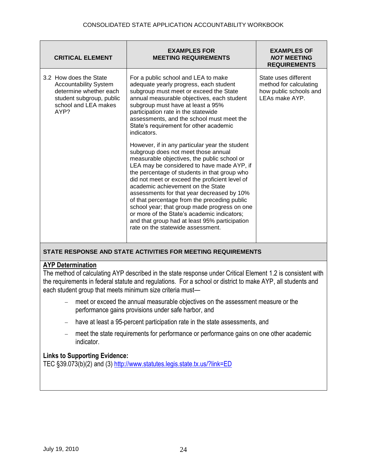| <b>CRITICAL ELEMENT</b>                                                                                                                      | <b>EXAMPLES FOR</b><br><b>MEETING REQUIREMENTS</b>                                                                                                                                                                                                                                                                                                                                                                                                                                                                                                                                                                                              | <b>EXAMPLES OF</b><br><b>NOT MEETING</b><br><b>REQUIREMENTS</b>                            |
|----------------------------------------------------------------------------------------------------------------------------------------------|-------------------------------------------------------------------------------------------------------------------------------------------------------------------------------------------------------------------------------------------------------------------------------------------------------------------------------------------------------------------------------------------------------------------------------------------------------------------------------------------------------------------------------------------------------------------------------------------------------------------------------------------------|--------------------------------------------------------------------------------------------|
| 3.2 How does the State<br><b>Accountability System</b><br>determine whether each<br>student subgroup, public<br>school and LEA makes<br>AYP? | For a public school and LEA to make<br>adequate yearly progress, each student<br>subgroup must meet or exceed the State<br>annual measurable objectives, each student<br>subgroup must have at least a 95%<br>participation rate in the statewide<br>assessments, and the school must meet the<br>State's requirement for other academic<br>indicators.<br>However, if in any particular year the student<br>subgroup does not meet those annual<br>measurable objectives, the public school or<br>LEA may be considered to have made AYP, if<br>the percentage of students in that group who<br>did not meet or exceed the proficient level of | State uses different<br>method for calculating<br>how public schools and<br>LEAs make AYP. |
|                                                                                                                                              | academic achievement on the State<br>assessments for that year decreased by 10%<br>of that percentage from the preceding public<br>school year; that group made progress on one<br>or more of the State's academic indicators;<br>and that group had at least 95% participation<br>rate on the statewide assessment.                                                                                                                                                                                                                                                                                                                            |                                                                                            |

#### **AYP Determination**

The method of calculating AYP described in the state response under Critical Element 1.2 is consistent with the requirements in federal statute and regulations. For a school or district to make AYP, all students and each student group that meets minimum size criteria must—

- meet or exceed the annual measurable objectives on the assessment measure or the performance gains provisions under safe harbor, and
- have at least a 95-percent participation rate in the state assessments, and
- meet the state requirements for performance or performance gains on one other academic indicator.

#### **Links to Supporting Evidence:**

TEC §39.073(b)(2) and (3)<http://www.statutes.legis.state.tx.us/?link=ED>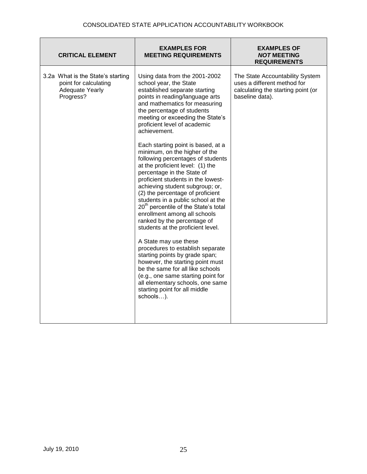| <b>CRITICAL ELEMENT</b>                                                                           | <b>EXAMPLES FOR</b><br><b>MEETING REQUIREMENTS</b>                                                                                                                                                                                                                                                                                                                                                                                                                                                                                                                                                                                                                                                                                                                                                                                                                                                                                                                                                                                                                     | <b>EXAMPLES OF</b><br><b>NOT MEETING</b><br><b>REQUIREMENTS</b>                                                         |
|---------------------------------------------------------------------------------------------------|------------------------------------------------------------------------------------------------------------------------------------------------------------------------------------------------------------------------------------------------------------------------------------------------------------------------------------------------------------------------------------------------------------------------------------------------------------------------------------------------------------------------------------------------------------------------------------------------------------------------------------------------------------------------------------------------------------------------------------------------------------------------------------------------------------------------------------------------------------------------------------------------------------------------------------------------------------------------------------------------------------------------------------------------------------------------|-------------------------------------------------------------------------------------------------------------------------|
| 3.2a What is the State's starting<br>point for calculating<br><b>Adequate Yearly</b><br>Progress? | Using data from the 2001-2002<br>school year, the State<br>established separate starting<br>points in reading/language arts<br>and mathematics for measuring<br>the percentage of students<br>meeting or exceeding the State's<br>proficient level of academic<br>achievement.<br>Each starting point is based, at a<br>minimum, on the higher of the<br>following percentages of students<br>at the proficient level: (1) the<br>percentage in the State of<br>proficient students in the lowest-<br>achieving student subgroup; or,<br>(2) the percentage of proficient<br>students in a public school at the<br>20 <sup>th</sup> percentile of the State's total<br>enrollment among all schools<br>ranked by the percentage of<br>students at the proficient level.<br>A State may use these<br>procedures to establish separate<br>starting points by grade span;<br>however, the starting point must<br>be the same for all like schools<br>(e.g., one same starting point for<br>all elementary schools, one same<br>starting point for all middle<br>schools). | The State Accountability System<br>uses a different method for<br>calculating the starting point (or<br>baseline data). |
|                                                                                                   |                                                                                                                                                                                                                                                                                                                                                                                                                                                                                                                                                                                                                                                                                                                                                                                                                                                                                                                                                                                                                                                                        |                                                                                                                         |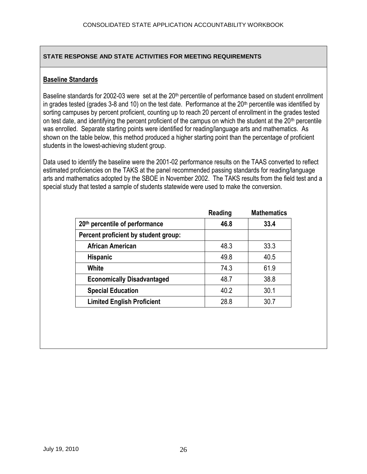#### **Baseline Standards**

Baseline standards for 2002-03 were set at the 20<sup>th</sup> percentile of performance based on student enrollment in grades tested (grades 3-8 and 10) on the test date. Performance at the  $20<sup>th</sup>$  percentile was identified by sorting campuses by percent proficient, counting up to reach 20 percent of enrollment in the grades tested on test date, and identifying the percent proficient of the campus on which the student at the 20<sup>th</sup> percentile was enrolled. Separate starting points were identified for reading/language arts and mathematics. As shown on the table below, this method produced a higher starting point than the percentage of proficient students in the lowest-achieving student group.

Data used to identify the baseline were the 2001-02 performance results on the TAAS converted to reflect estimated proficiencies on the TAKS at the panel recommended passing standards for reading/language arts and mathematics adopted by the SBOE in November 2002. The TAKS results from the field test and a special study that tested a sample of students statewide were used to make the conversion.

|                                            | Reading | <b>Mathematics</b> |
|--------------------------------------------|---------|--------------------|
| 20 <sup>th</sup> percentile of performance | 46.8    | 33.4               |
| Percent proficient by student group:       |         |                    |
| <b>African American</b>                    | 48.3    | 33.3               |
| <b>Hispanic</b>                            | 49.8    | 40.5               |
| White                                      | 74.3    | 61.9               |
| <b>Economically Disadvantaged</b>          | 48.7    | 38.8               |
| <b>Special Education</b>                   | 40.2    | 30.1               |
| <b>Limited English Proficient</b>          | 28.8    | 30.7               |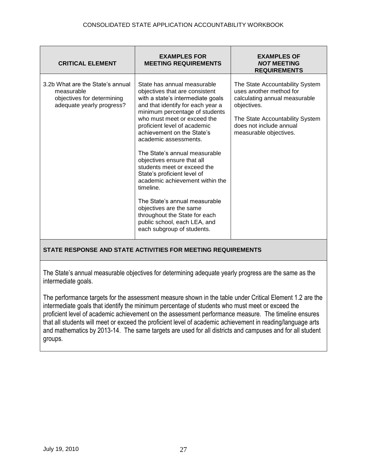| <b>CRITICAL ELEMENT</b>                                                                                   | <b>EXAMPLES FOR</b><br><b>MEETING REQUIREMENTS</b>                                                                                                                                                                                                                                                                                                                                                                                                                                                                                                                                                                                      | <b>EXAMPLES OF</b><br><b>NOT MEETING</b><br><b>REQUIREMENTS</b>                                                                                                                                    |
|-----------------------------------------------------------------------------------------------------------|-----------------------------------------------------------------------------------------------------------------------------------------------------------------------------------------------------------------------------------------------------------------------------------------------------------------------------------------------------------------------------------------------------------------------------------------------------------------------------------------------------------------------------------------------------------------------------------------------------------------------------------------|----------------------------------------------------------------------------------------------------------------------------------------------------------------------------------------------------|
| 3.2b What are the State's annual<br>measurable<br>objectives for determining<br>adequate yearly progress? | State has annual measurable<br>objectives that are consistent<br>with a state's intermediate goals<br>and that identify for each year a<br>minimum percentage of students<br>who must meet or exceed the<br>proficient level of academic<br>achievement on the State's<br>academic assessments.<br>The State's annual measurable<br>objectives ensure that all<br>students meet or exceed the<br>State's proficient level of<br>academic achievement within the<br>timeline.<br>The State's annual measurable<br>objectives are the same<br>throughout the State for each<br>public school, each LEA, and<br>each subgroup of students. | The State Accountability System<br>uses another method for<br>calculating annual measurable<br>objectives.<br>The State Accountability System<br>does not include annual<br>measurable objectives. |

The State's annual measurable objectives for determining adequate yearly progress are the same as the intermediate goals.

The performance targets for the assessment measure shown in the table under Critical Element 1.2 are the intermediate goals that identify the minimum percentage of students who must meet or exceed the proficient level of academic achievement on the assessment performance measure. The timeline ensures that all students will meet or exceed the proficient level of academic achievement in reading/language arts and mathematics by 2013-14. The same targets are used for all districts and campuses and for all student groups.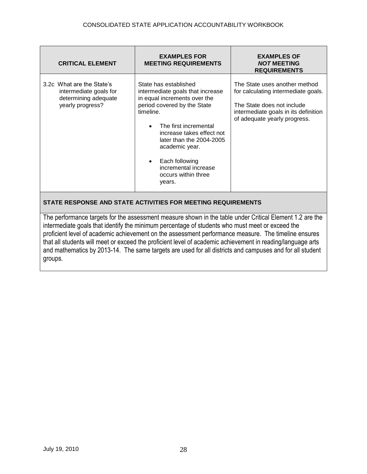| <b>CRITICAL ELEMENT</b>                                                                         | <b>EXAMPLES FOR</b><br><b>MEETING REQUIREMENTS</b>                                                                                                                                                                                                                                                                     | <b>EXAMPLES OF</b><br><b>NOT MEETING</b><br><b>REQUIREMENTS</b>                                                                                                            |
|-------------------------------------------------------------------------------------------------|------------------------------------------------------------------------------------------------------------------------------------------------------------------------------------------------------------------------------------------------------------------------------------------------------------------------|----------------------------------------------------------------------------------------------------------------------------------------------------------------------------|
| 3.2c What are the State's<br>intermediate goals for<br>determining adequate<br>yearly progress? | State has established<br>intermediate goals that increase<br>in equal increments over the<br>period covered by the State<br>timeline.<br>The first incremental<br>increase takes effect not<br>later than the $2004-2005$<br>academic year.<br>Each following<br>incremental increase<br>occurs within three<br>years. | The State uses another method<br>for calculating intermediate goals.<br>The State does not include<br>intermediate goals in its definition<br>of adequate yearly progress. |
| STATE RESPONSE AND STATE ACTIVITIES FOR MEETING REQUIREMENTS                                    |                                                                                                                                                                                                                                                                                                                        |                                                                                                                                                                            |

The performance targets for the assessment measure shown in the table under Critical Element 1.2 are the intermediate goals that identify the minimum percentage of students who must meet or exceed the proficient level of academic achievement on the assessment performance measure. The timeline ensures that all students will meet or exceed the proficient level of academic achievement in reading/language arts and mathematics by 2013-14. The same targets are used for all districts and campuses and for all student groups.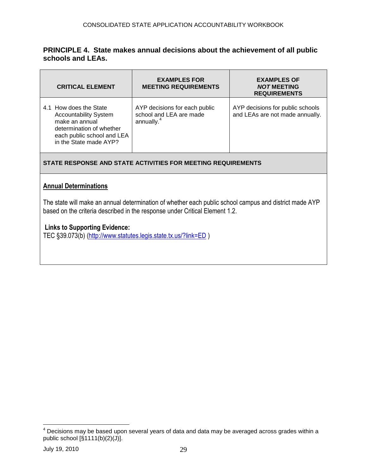## **PRINCIPLE 4. State makes annual decisions about the achievement of all public schools and LEAs.**

| <b>CRITICAL ELEMENT</b>                                                                                                                                      | <b>EXAMPLES FOR</b><br><b>MEETING REQUIREMENTS</b>                                 | <b>EXAMPLES OF</b><br><b>NOT MEETING</b><br><b>REQUIREMENTS</b>     |
|--------------------------------------------------------------------------------------------------------------------------------------------------------------|------------------------------------------------------------------------------------|---------------------------------------------------------------------|
| 4.1 How does the State<br><b>Accountability System</b><br>make an annual<br>determination of whether<br>each public school and LEA<br>in the State made AYP? | AYP decisions for each public<br>school and LEA are made<br>annually. <sup>4</sup> | AYP decisions for public schools<br>and LEAs are not made annually. |

#### **STATE RESPONSE AND STATE ACTIVITIES FOR MEETING REQUIREMENTS**

#### **Annual Determinations**

The state will make an annual determination of whether each public school campus and district made AYP based on the criteria described in the response under Critical Element 1.2.

**Links to Supporting Evidence:**

TEC §39.073(b) [\(http://www.statutes.legis.state.tx.us/?link=ED](http://www.statutes.legis.state.tx.us/?link=ED) )

 $\overline{a}$ 

 $4$  Decisions may be based upon several years of data and data may be averaged across grades within a public school  $[\S 1111(b)(2)(J)].$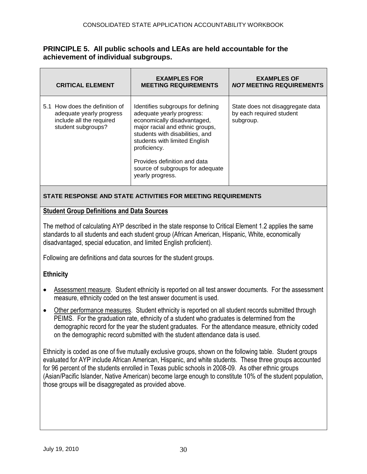# **PRINCIPLE 5. All public schools and LEAs are held accountable for the achievement of individual subgroups.**

| <b>CRITICAL ELEMENT</b>                                                                                      | <b>EXAMPLES FOR</b><br><b>MEETING REQUIREMENTS</b>                                                                                                                                                                                                                                                           | <b>EXAMPLES OF</b><br><b>NOT MEETING REQUIREMENTS</b>                     |
|--------------------------------------------------------------------------------------------------------------|--------------------------------------------------------------------------------------------------------------------------------------------------------------------------------------------------------------------------------------------------------------------------------------------------------------|---------------------------------------------------------------------------|
| 5.1 How does the definition of<br>adequate yearly progress<br>include all the required<br>student subgroups? | Identifies subgroups for defining<br>adequate yearly progress:<br>economically disadvantaged,<br>major racial and ethnic groups,<br>students with disabilities, and<br>students with limited English<br>proficiency.<br>Provides definition and data<br>source of subgroups for adequate<br>yearly progress. | State does not disaggregate data<br>by each required student<br>subgroup. |

#### **STATE RESPONSE AND STATE ACTIVITIES FOR MEETING REQUIREMENTS**

#### **Student Group Definitions and Data Sources**

The method of calculating AYP described in the state response to Critical Element 1.2 applies the same standards to all students and each student group (African American, Hispanic, White, economically disadvantaged, special education, and limited English proficient).

Following are definitions and data sources for the student groups.

## **Ethnicity**

- Assessment measure. Student ethnicity is reported on all test answer documents. For the assessment measure, ethnicity coded on the test answer document is used.
- Other performance measures. Student ethnicity is reported on all student records submitted through PEIMS. For the graduation rate, ethnicity of a student who graduates is determined from the demographic record for the year the student graduates. For the attendance measure, ethnicity coded on the demographic record submitted with the student attendance data is used.

Ethnicity is coded as one of five mutually exclusive groups, shown on the following table. Student groups evaluated for AYP include African American, Hispanic, and white students. These three groups accounted for 96 percent of the students enrolled in Texas public schools in 2008-09. As other ethnic groups (Asian/Pacific Islander, Native American) become large enough to constitute 10% of the student population, those groups will be disaggregated as provided above.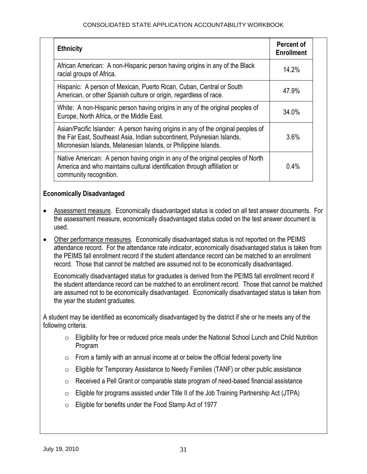| <b>Ethnicity</b>                                                                                                                                                                                                               | Percent of<br><b>Enrollment</b> |
|--------------------------------------------------------------------------------------------------------------------------------------------------------------------------------------------------------------------------------|---------------------------------|
| African American: A non-Hispanic person having origins in any of the Black<br>racial groups of Africa.                                                                                                                         | 14.2%                           |
| Hispanic: A person of Mexican, Puerto Rican, Cuban, Central or South<br>American, or other Spanish culture or origin, regardless of race.                                                                                      | 47.9%                           |
| White: A non-Hispanic person having origins in any of the original peoples of<br>Europe, North Africa, or the Middle East.                                                                                                     | 34.0%                           |
| Asian/Pacific Islander: A person having origins in any of the original peoples of<br>the Far East, Southeast Asia, Indian subcontinent, Polynesian Islands,<br>Micronesian Islands, Melanesian Islands, or Philippine Islands. | 3.6%                            |
| Native American: A person having origin in any of the original peoples of North<br>America and who maintains cultural identification through affiliation or<br>community recognition.                                          | 0.4%                            |

# **Economically Disadvantaged**

- Assessment measure. Economically disadvantaged status is coded on all test answer documents. For the assessment measure, economically disadvantaged status coded on the test answer document is used.
- Other performance measures. Economically disadvantaged status is not reported on the PEIMS attendance record. For the attendance rate indicator, economically disadvantaged status is taken from the PEIMS fall enrollment record if the student attendance record can be matched to an enrollment record. Those that cannot be matched are assumed not to be economically disadvantaged.

Economically disadvantaged status for graduates is derived from the PEIMS fall enrollment record if the student attendance record can be matched to an enrollment record. Those that cannot be matched are assumed not to be economically disadvantaged. Economically disadvantaged status is taken from the year the student graduates.

A student may be identified as economically disadvantaged by the district if she or he meets any of the following criteria.

- o Eligibility for free or reduced price meals under the National School Lunch and Child Nutrition Program
- $\circ$  From a family with an annual income at or below the official federal poverty line
- $\circ$  Eligible for Temporary Assistance to Needy Families (TANF) or other public assistance
- $\circ$  Received a Pell Grant or comparable state program of need-based financial assistance
- o Eligible for programs assisted under Title II of the Job Training Partnership Act (JTPA)
- $\circ$  Eligible for benefits under the Food Stamp Act of 1977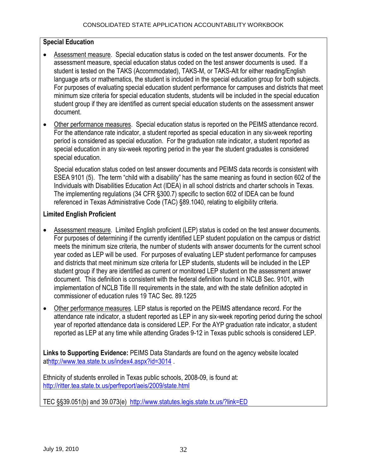# **Special Education**

- Assessment measure. Special education status is coded on the test answer documents. For the assessment measure, special education status coded on the test answer documents is used. If a student is tested on the TAKS (Accommodated), TAKS-M, or TAKS-Alt for either reading/English language arts or mathematics, the student is included in the special education group for both subjects. For purposes of evaluating special education student performance for campuses and districts that meet minimum size criteria for special education students, students will be included in the special education student group if they are identified as current special education students on the assessment answer document.
- Other performance measures. Special education status is reported on the PEIMS attendance record. For the attendance rate indicator, a student reported as special education in any six-week reporting period is considered as special education. For the graduation rate indicator, a student reported as special education in any six-week reporting period in the year the student graduates is considered special education.

Special education status coded on test answer documents and PEIMS data records is consistent with ESEA 9101 (5). The term "child with a disability" has the same meaning as found in section 602 of the Individuals with Disabilities Education Act (IDEA) in all school districts and charter schools in Texas. The implementing regulations (34 CFR §300.7) specific to section 602 of IDEA can be found referenced in Texas Administrative Code (TAC) §89.1040, relating to eligibility criteria.

# **Limited English Proficient**

- Assessment measure. Limited English proficient (LEP) status is coded on the test answer documents. For purposes of determining if the currently identified LEP student population on the campus or district meets the minimum size criteria, the number of students with answer documents for the current school year coded as LEP will be used. For purposes of evaluating LEP student performance for campuses and districts that meet minimum size criteria for LEP students, students will be included in the LEP student group if they are identified as current or monitored LEP student on the assessment answer document. This definition is consistent with the federal definition found in NCLB Sec. 9101, with implementation of NCLB Title III requirements in the state, and with the state definition adopted in commissioner of education rules 19 TAC Sec. 89.1225
- Other performance measures. LEP status is reported on the PEIMS attendance record. For the attendance rate indicator, a student reported as LEP in any six-week reporting period during the school year of reported attendance data is considered LEP. For the AYP graduation rate indicator, a student reported as LEP at any time while attending Grades 9-12 in Texas public schools is considered LEP.

**Links to Supporting Evidence:** PEIMS Data Standards are found on the agency website located a[thttp://www.tea.state.tx.us/index4.aspx?id=3014](http://www.tea.state.tx.us/index4.aspx?id=3014) .

Ethnicity of students enrolled in Texas public schools, 2008-09, is found at: <http://ritter.tea.state.tx.us/perfreport/aeis/2009/state.html>

TEC §§39.051(b) and 39.073(e) <http://www.statutes.legis.state.tx.us/?link=ED>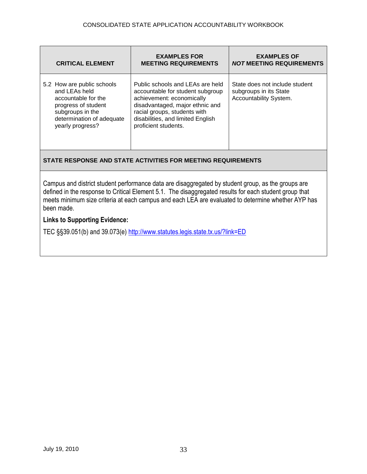| <b>CRITICAL ELEMENT</b>                                                                                                                                        | <b>EXAMPLES FOR</b><br><b>MEETING REQUIREMENTS</b>                                                                                                                                                                                | <b>EXAMPLES OF</b><br><i>NOT</i> MEETING REQUIREMENTS                              |
|----------------------------------------------------------------------------------------------------------------------------------------------------------------|-----------------------------------------------------------------------------------------------------------------------------------------------------------------------------------------------------------------------------------|------------------------------------------------------------------------------------|
| 5.2 How are public schools<br>and LEAs held<br>accountable for the<br>progress of student<br>subgroups in the<br>determination of adequate<br>yearly progress? | Public schools and LEAs are held<br>accountable for student subgroup<br>achievement: economically<br>disadvantaged, major ethnic and<br>racial groups, students with<br>disabilities, and limited English<br>proficient students. | State does not include student<br>subgroups in its State<br>Accountability System. |

Campus and district student performance data are disaggregated by student group, as the groups are defined in the response to Critical Element 5.1. The disaggregated results for each student group that meets minimum size criteria at each campus and each LEA are evaluated to determine whether AYP has been made.

## **Links to Supporting Evidence:**

TEC §§39.051(b) and 39.073(e)<http://www.statutes.legis.state.tx.us/?link=ED>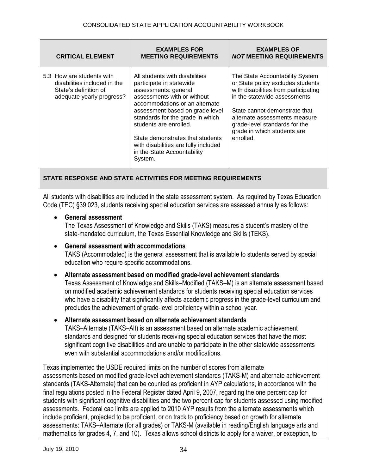| <b>CRITICAL ELEMENT</b>                                                                                         | <b>EXAMPLES FOR</b><br><b>MEETING REQUIREMENTS</b>                                                                                                                                                                                                                                                                                                                         | <b>EXAMPLES OF</b><br><b>NOT MEETING REQUIREMENTS</b>                                                                                                                                                                                                                                        |
|-----------------------------------------------------------------------------------------------------------------|----------------------------------------------------------------------------------------------------------------------------------------------------------------------------------------------------------------------------------------------------------------------------------------------------------------------------------------------------------------------------|----------------------------------------------------------------------------------------------------------------------------------------------------------------------------------------------------------------------------------------------------------------------------------------------|
| 5.3 How are students with<br>disabilities included in the<br>State's definition of<br>adequate yearly progress? | All students with disabilities<br>participate in statewide<br>assessments: general<br>assessments with or without<br>accommodations or an alternate<br>assessment based on grade level<br>standards for the grade in which<br>students are enrolled.<br>State demonstrates that students<br>with disabilities are fully included<br>in the State Accountability<br>System. | The State Accountability System<br>or State policy excludes students<br>with disabilities from participating<br>in the statewide assessments.<br>State cannot demonstrate that<br>alternate assessments measure<br>grade-level standards for the<br>grade in which students are<br>enrolled. |

All students with disabilities are included in the state assessment system. As required by Texas Education Code (TEC) §39.023, students receiving special education services are assessed annually as follows:

## **General assessment**

The Texas Assessment of Knowledge and Skills (TAKS) measures a student's mastery of the state-mandated curriculum, the Texas Essential Knowledge and Skills (TEKS).

## **General assessment with accommodations**

TAKS (Accommodated) is the general assessment that is available to students served by special education who require specific accommodations.

## **Alternate assessment based on modified grade-level achievement standards**

Texas Assessment of Knowledge and Skills–Modified (TAKS–M) is an alternate assessment based on modified academic achievement standards for students receiving special education services who have a disability that significantly affects academic progress in the grade-level curriculum and precludes the achievement of grade-level proficiency within a school year.

#### **Alternate assessment based on alternate achievement standards**

TAKS–Alternate (TAKS–Alt) is an assessment based on alternate academic achievement standards and designed for students receiving special education services that have the most significant cognitive disabilities and are unable to participate in the other statewide assessments even with substantial accommodations and/or modifications.

Texas implemented the USDE required limits on the number of scores from alternate assessments based on modified grade-level achievement standards (TAKS-M) and alternate achievement standards (TAKS-Alternate) that can be counted as proficient in AYP calculations, in accordance with the final regulations posted in the Federal Register dated April 9, 2007, regarding the one percent cap for students with significant cognitive disabilities and the two percent cap for students assessed using modified assessments. Federal cap limits are applied to 2010 AYP results from the alternate assessments which include proficient, projected to be proficient, or on track to proficiency based on growth for alternate assessments: TAKS–Alternate (for all grades) or TAKS-M (available in reading/English language arts and mathematics for grades 4, 7, and 10). Texas allows school districts to apply for a waiver, or exception, to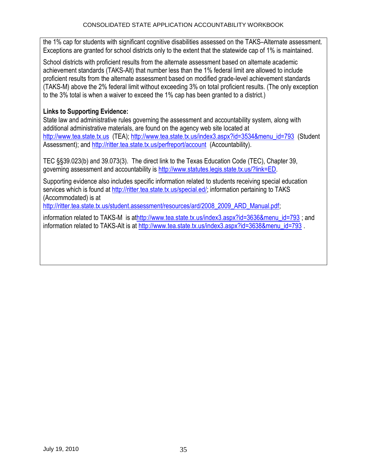the 1% cap for students with significant cognitive disabilities assessed on the TAKS–Alternate assessment. Exceptions are granted for school districts only to the extent that the statewide cap of 1% is maintained.

School districts with proficient results from the alternate assessment based on alternate academic achievement standards (TAKS-Alt) that number less than the 1% federal limit are allowed to include proficient results from the alternate assessment based on modified grade-level achievement standards (TAKS-M) above the 2% federal limit without exceeding 3% on total proficient results. (The only exception to the 3% total is when a waiver to exceed the 1% cap has been granted to a district.)

# **Links to Supporting Evidence:**

State law and administrative rules governing the assessment and accountability system, along with additional administrative materials, are found on the agency web site located at [http://www.tea.state.tx.us](http://www.tea.state.tx.us/) (TEA); [http://www.tea.state.tx.us/index3.aspx?id=3534&menu\\_id=793](http://www.tea.state.tx.us/index3.aspx?id=3534&menu_id=793) (Student Assessment); and<http://ritter.tea.state.tx.us/perfreport/account> (Accountability).

TEC §§39.023(b) and 39.073(3). The direct link to the Texas Education Code (TEC), Chapter 39, governing assessment and accountability is [http://www.statutes.legis.state.tx.us/?link=ED.](http://www.statutes.legis.state.tx.us/?link=ED)

Supporting evidence also includes specific information related to students receiving special education services which is found at [http://ritter.tea.state.tx.us/special.ed/;](http://ritter.tea.state.tx.us/special.ed/) information pertaining to TAKS (Accommodated) is at

[http://ritter.tea.state.tx.us/student.assessment/resources/ard/2008\\_2009\\_ARD\\_Manual.pdf;](http://ritter.tea.state.tx.us/student.assessment/resources/ard/2008_2009_ARD_Manual.pdf)

information related to TAKS-M is a[thttp://www.tea.state.tx.us/index3.aspx?id=3636&menu\\_id=793](http://www.tea.state.tx.us/index3.aspx?id=3636&menu_id=793) ; and information related to TAKS-Alt is at [http://www.tea.state.tx.us/index3.aspx?id=3638&menu\\_id=793](http://www.tea.state.tx.us/index3.aspx?id=3638&menu_id=793)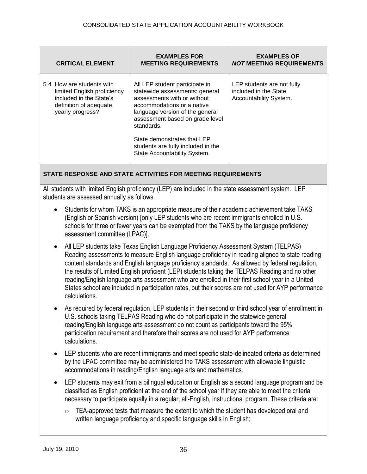| <b>CRITICAL ELEMENT</b>                                                                                                           | <b>EXAMPLES FOR</b><br><b>MEETING REQUIREMENTS</b>                                                                                                                                                                                                                                                                     | <b>EXAMPLES OF</b><br><b>NOT MEETING REQUIREMENTS</b>                         |
|-----------------------------------------------------------------------------------------------------------------------------------|------------------------------------------------------------------------------------------------------------------------------------------------------------------------------------------------------------------------------------------------------------------------------------------------------------------------|-------------------------------------------------------------------------------|
| 5.4 How are students with<br>limited English proficiency<br>included in the State's<br>definition of adequate<br>yearly progress? | All LEP student participate in<br>statewide assessments: general<br>assessments with or without<br>accommodations or a native<br>language version of the general<br>assessment based on grade level<br>standards.<br>State demonstrates that LEP<br>students are fully included in the<br>State Accountability System. | LEP students are not fully<br>included in the State<br>Accountability System. |

All students with limited English proficiency (LEP) are included in the state assessment system. LEP students are assessed annually as follows.

- Students for whom TAKS is an appropriate measure of their academic achievement take TAKS (English or Spanish version) [only LEP students who are recent immigrants enrolled in U.S. schools for three or fewer years can be exempted from the TAKS by the language proficiency assessment committee (LPAC)].
- All LEP students take Texas English Language Proficiency Assessment System (TELPAS) Reading assessments to measure English language proficiency in reading aligned to state reading content standards and English language proficiency standards. As allowed by federal regulation, the results of Limited English proficient (LEP) students taking the TELPAS Reading and no other reading/English language arts assessment who are enrolled in their first school year in a United States school are included in participation rates, but their scores are not used for AYP performance calculations.
- As required by federal regulation, LEP students in their second or third school year of enrollment in U.S. schools taking TELPAS Reading who do not participate in the statewide general reading/English language arts assessment do not count as participants toward the 95% participation requirement and therefore their scores are not used for AYP performance calculations.
- LEP students who are recent immigrants and meet specific state-delineated criteria as determined by the LPAC committee may be administered the TAKS assessment with allowable linguistic accommodations in reading/English language arts and mathematics.
- LEP students may exit from a bilingual education or English as a second language program and be classified as English proficient at the end of the school year if they are able to meet the criteria necessary to participate equally in a regular, all-English, instructional program. These criteria are:
	- $\circ$  TEA-approved tests that measure the extent to which the student has developed oral and written language proficiency and specific language skills in English;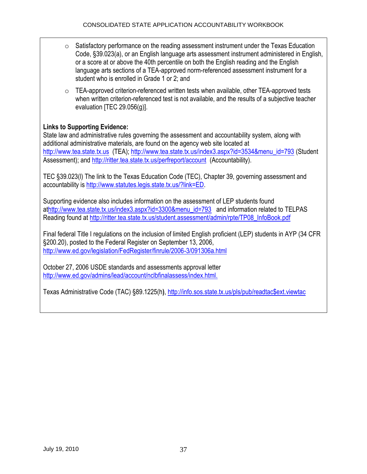- $\circ$  Satisfactory performance on the reading assessment instrument under the Texas Education Code, §39.023(a), or an English language arts assessment instrument administered in English, or a score at or above the 40th percentile on both the English reading and the English language arts sections of a TEA-approved norm-referenced assessment instrument for a student who is enrolled in Grade 1 or 2; and
- $\circ$  TEA-approved criterion-referenced written tests when available, other TEA-approved tests when written criterion-referenced test is not available, and the results of a subjective teacher evaluation [TEC 29.056(g)].

# **Links to Supporting Evidence:**

State law and administrative rules governing the assessment and accountability system, along with additional administrative materials, are found on the agency web site located at [http://www.tea.state.tx.us](http://www.tea.state.tx.us/) (TEA); [http://www.tea.state.tx.us/index3.aspx?id=3534&menu\\_id=793](http://www.tea.state.tx.us/index3.aspx?id=3534&menu_id=793) (Student Assessment); and<http://ritter.tea.state.tx.us/perfreport/account>(Accountability).

TEC §39.023(l) The link to the Texas Education Code (TEC), Chapter 39, governing assessment and accountability is [http://www.statutes.legis.state.tx.us/?link=ED.](http://www.statutes.legis.state.tx.us/?link=ED)

Supporting evidence also includes information on the assessment of LEP students found a[thttp://www.tea.state.tx.us/index3.aspx?id=3300&menu\\_id=793](http://www.tea.state.tx.us/index3.aspx?id=3300&menu_id=793) and information related to TELPAS Reading found a[t http://ritter.tea.state.tx.us/student.assessment/admin/rpte/TP08\\_InfoBook.pdf](http://ritter.tea.state.tx.us/student.assessment/admin/rpte/TP08_InfoBook.pdf)

Final federal Title I regulations on the inclusion of limited English proficient (LEP) students in AYP (34 CFR §200.20), posted to the Federal Register on September 13, 2006, <http://www.ed.gov/legislation/FedRegister/finrule/2006-3/091306a.html>

October 27, 2006 USDE standards and assessments approval letter [http://www.ed.gov/admins/lead/account/nclbfinalassess/index.html.](http://www.ed.gov/admins/lead/account/nclbfinalassess/index.html)

Texas Administrative Code (TAC) §89.1225(h**)**, [http://info.sos.state.tx.us/pls/pub/readtac\\$ext.viewtac](http://info.sos.state.tx.us/pls/pub/readtac$ext.viewtac)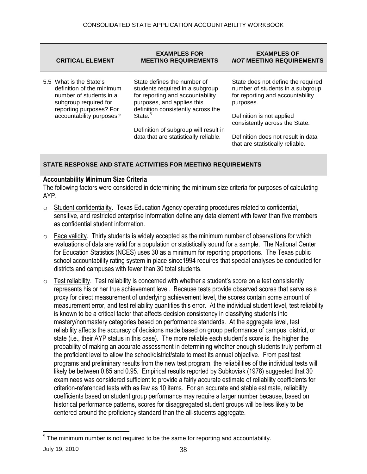| <b>CRITICAL ELEMENT</b>                                                                                                                                         | <b>EXAMPLES FOR</b><br><b>MEETING REQUIREMENTS</b>                                                                                                                                                                                                                              | <b>EXAMPLES OF</b><br><b>NOT MEETING REQUIREMENTS</b>                                                                                                                                                                                                            |
|-----------------------------------------------------------------------------------------------------------------------------------------------------------------|---------------------------------------------------------------------------------------------------------------------------------------------------------------------------------------------------------------------------------------------------------------------------------|------------------------------------------------------------------------------------------------------------------------------------------------------------------------------------------------------------------------------------------------------------------|
| 5.5 What is the State's<br>definition of the minimum<br>number of students in a<br>subgroup required for<br>reporting purposes? For<br>accountability purposes? | State defines the number of<br>students required in a subgroup<br>for reporting and accountability<br>purposes, and applies this<br>definition consistently across the<br>State. <sup>5</sup><br>Definition of subgroup will result in<br>data that are statistically reliable. | State does not define the required<br>number of students in a subgroup<br>for reporting and accountability<br>purposes.<br>Definition is not applied<br>consistently across the State.<br>Definition does not result in data<br>that are statistically reliable. |
|                                                                                                                                                                 |                                                                                                                                                                                                                                                                                 |                                                                                                                                                                                                                                                                  |

## **Accountability Minimum Size Criteria**

The following factors were considered in determining the minimum size criteria for purposes of calculating AYP.

- $\circ$  Student confidentiality. Texas Education Agency operating procedures related to confidential, sensitive, and restricted enterprise information define any data element with fewer than five members as confidential student information.
- $\circ$  Face validity. Thirty students is widely accepted as the minimum number of observations for which evaluations of data are valid for a population or statistically sound for a sample. The National Center for Education Statistics (NCES) uses 30 as a minimum for reporting proportions. The Texas public school accountability rating system in place since1994 requires that special analyses be conducted for districts and campuses with fewer than 30 total students.
- $\circ$  Test reliability. Test reliability is concerned with whether a student's score on a test consistently represents his or her true achievement level. Because tests provide observed scores that serve as a proxy for direct measurement of underlying achievement level, the scores contain some amount of measurement error, and test reliability quantifies this error. At the individual student level, test reliability is known to be a critical factor that affects decision consistency in classifying students into mastery/nonmastery categories based on performance standards. At the aggregate level, test reliability affects the accuracy of decisions made based on group performance of campus, district, or state (i.e., their AYP status in this case). The more reliable each student's score is, the higher the probability of making an accurate assessment in determining whether enough students truly perform at the proficient level to allow the school/district/state to meet its annual objective. From past test programs and preliminary results from the new test program, the reliabilities of the individual tests will likely be between 0.85 and 0.95. Empirical results reported by Subkoviak (1978) suggested that 30 examinees was considered sufficient to provide a fairly accurate estimate of reliability coefficients for criterion-referenced tests with as few as 10 items. For an accurate and stable estimate, reliability coefficients based on student group performance may require a larger number because, based on historical performance patterns, scores for disaggregated student groups will be less likely to be centered around the proficiency standard than the all-students aggregate.

 5 The minimum number is not required to be the same for reporting and accountability.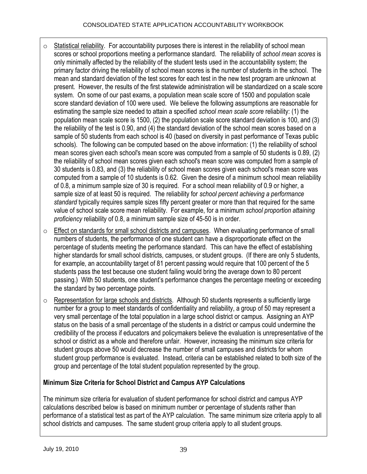#### CONSOLIDATED STATE APPLICATION ACCOUNTABILITY WORKBOOK

- $\circ$  Statistical reliability. For accountability purposes there is interest in the reliability of school mean scores or school proportions meeting a performance standard. The reliability of *school mean scores* is only minimally affected by the reliability of the student tests used in the accountability system; the primary factor driving the reliability of school mean scores is the number of students in the school. The mean and standard deviation of the test scores for each test in the new test program are unknown at present. However, the results of the first statewide administration will be standardized on a scale score system. On some of our past exams, a population mean scale score of 1500 and population scale score standard deviation of 100 were used. We believe the following assumptions are reasonable for estimating the sample size needed to attain a specified *school mean scale score* reliability: (1) the population mean scale score is 1500, (2) the population scale score standard deviation is 100, and (3) the reliability of the test is 0.90, and (4) the standard deviation of the school mean scores based on a sample of 50 students from each school is 40 (based on diversity in past performance of Texas public schools). The following can be computed based on the above information: (1) the reliability of school mean scores given each school's mean score was computed from a sample of 50 students is 0.89, (2) the reliability of school mean scores given each school's mean score was computed from a sample of 30 students is 0.83, and (3) the reliability of school mean scores given each school's mean score was computed from a sample of 10 students is 0.62. Given the desire of a minimum school mean reliability of 0.8, a minimum sample size of 30 is required. For a school mean reliability of 0.9 or higher, a sample size of at least 50 is required. The reliability for *school percent achieving a performance standard* typically requires sample sizes fifty percent greater or more than that required for the same value of school scale score mean reliability. For example, for a minimum *school proportion attaining proficiency* reliability of 0.8, a minimum sample size of 45-50 is in order.
- o Effect on standards for small school districts and campuses. When evaluating performance of small numbers of students, the performance of one student can have a disproportionate effect on the percentage of students meeting the performance standard. This can have the effect of establishing higher standards for small school districts, campuses, or student groups. (If there are only 5 students, for example, an accountability target of 81 percent passing would require that 100 percent of the 5 students pass the test because one student failing would bring the average down to 80 percent passing.) With 50 students, one student's performance changes the percentage meeting or exceeding the standard by two percentage points.
- o Representation for large schools and districts. Although 50 students represents a sufficiently large number for a group to meet standards of confidentiality and reliability, a group of 50 may represent a very small percentage of the total population in a large school district or campus. Assigning an AYP status on the basis of a small percentage of the students in a district or campus could undermine the credibility of the process if educators and policymakers believe the evaluation is unrepresentative of the school or district as a whole and therefore unfair. However, increasing the minimum size criteria for student groups above 50 would decrease the number of small campuses and districts for whom student group performance is evaluated. Instead, criteria can be established related to both size of the group and percentage of the total student population represented by the group.

# **Minimum Size Criteria for School District and Campus AYP Calculations**

The minimum size criteria for evaluation of student performance for school district and campus AYP calculations described below is based on minimum number or percentage of students rather than performance of a statistical test as part of the AYP calculation. The same minimum size criteria apply to all school districts and campuses. The same student group criteria apply to all student groups.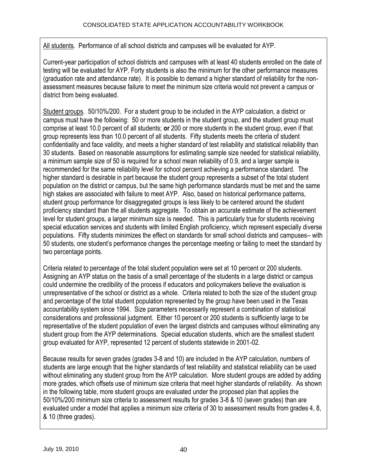All students. Performance of all school districts and campuses will be evaluated for AYP.

Current-year participation of school districts and campuses with at least 40 students enrolled on the date of testing will be evaluated for AYP. Forty students is also the minimum for the other performance measures (graduation rate and attendance rate). It is possible to demand a higher standard of reliability for the nonassessment measures because failure to meet the minimum size criteria would not prevent a campus or district from being evaluated.

Student groups. 50/10%/200. For a student group to be included in the AYP calculation, a district or campus must have the following: 50 or more students in the student group, and the student group must comprise at least 10.0 percent of all students; **or** 200 or more students in the student group, even if that group represents less than 10.0 percent of all students. Fifty students meets the criteria of student confidentiality and face validity, and meets a higher standard of test reliability and statistical reliability than 30 students. Based on reasonable assumptions for estimating sample size needed for statistical reliability, a minimum sample size of 50 is required for a school mean reliability of 0.9, and a larger sample is recommended for the same reliability level for school percent achieving a performance standard. The higher standard is desirable in part because the student group represents a subset of the total student population on the district or campus, but the same high performance standards must be met and the same high stakes are associated with failure to meet AYP. Also, based on historical performance patterns, student group performance for disaggregated groups is less likely to be centered around the student proficiency standard than the all students aggregate. To obtain an accurate estimate of the achievement level for student groups, a larger minimum size is needed. This is particularly true for students receiving special education services and students with limited English proficiency, which represent especially diverse populations. Fifty students minimizes the effect on standards for small school districts and campuses– with 50 students, one student's performance changes the percentage meeting or failing to meet the standard by two percentage points.

Criteria related to percentage of the total student population were set at 10 percent or 200 students. Assigning an AYP status on the basis of a small percentage of the students in a large district or campus could undermine the credibility of the process if educators and policymakers believe the evaluation is unrepresentative of the school or district as a whole. Criteria related to both the size of the student group and percentage of the total student population represented by the group have been used in the Texas accountability system since 1994. Size parameters necessarily represent a combination of statistical considerations and professional judgment. Either 10 percent or 200 students is sufficiently large to be representative of the student population of even the largest districts and campuses without eliminating any student group from the AYP determinations. Special education students, which are the smallest student group evaluated for AYP, represented 12 percent of students statewide in 2001-02.

Because results for seven grades (grades 3-8 and 10) are included in the AYP calculation, numbers of students are large enough that the higher standards of test reliability and statistical reliability can be used without eliminating any student group from the AYP calculation. More student groups are added by adding more grades, which offsets use of minimum size criteria that meet higher standards of reliability. As shown in the following table, more student groups are evaluated under the proposed plan that applies the 50/10%/200 minimum size criteria to assessment results for grades 3-8 & 10 (seven grades) than are evaluated under a model that applies a minimum size criteria of 30 to assessment results from grades 4, 8, & 10 (three grades).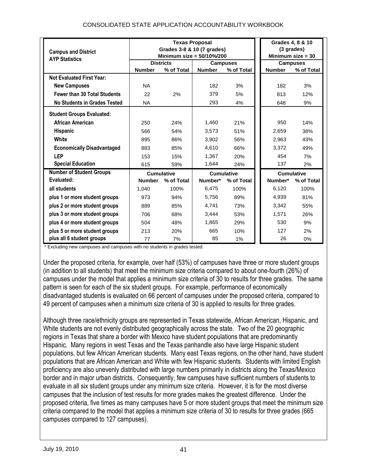#### CONSOLIDATED STATE APPLICATION ACCOUNTABILITY WORKBOOK

| <b>Campus and District</b>          | <b>Texas Proposal</b><br>Grades 3-8 & 10 (7 grades)                 |            |               | Grades 4, 8 & 10<br>(3 grades)<br>Minimum size $=$ 30 |                 |               |                   |
|-------------------------------------|---------------------------------------------------------------------|------------|---------------|-------------------------------------------------------|-----------------|---------------|-------------------|
| <b>AYP Statistics</b>               | Minimum size = $50/10\%/200$<br><b>Districts</b><br><b>Campuses</b> |            |               |                                                       | <b>Campuses</b> |               |                   |
|                                     | <b>Number</b>                                                       | % of Total | <b>Number</b> | % of Total                                            |                 | <b>Number</b> | % of Total        |
| <b>Not Evaluated First Year:</b>    |                                                                     |            |               |                                                       |                 |               |                   |
| <b>New Campuses</b>                 | <b>NA</b>                                                           |            | 182           | 3%                                                    |                 | 182           | 3%                |
| <b>Fewer than 30 Total Students</b> | 22                                                                  | 2%         | 379           | 5%                                                    |                 | 813           | 12%               |
| <b>No Students in Grades Tested</b> | <b>NA</b>                                                           |            | 293           | 4%                                                    |                 | 648           | 9%                |
| <b>Student Groups Evaluated:</b>    |                                                                     |            |               |                                                       |                 |               |                   |
| <b>African American</b>             | 250                                                                 | 24%        | 1,460         | 21%                                                   |                 | 950           | 14%               |
| Hispanic                            | 566                                                                 | 54%        | 3,573         | 51%                                                   |                 | 2,659         | 38%               |
| White                               | 895                                                                 | 86%        | 3,902         | 56%                                                   |                 | 2,963         | 43%               |
| <b>Economically Disadvantaged</b>   | 883                                                                 | 85%        | 4,610         | 66%                                                   |                 | 3,372         | 49%               |
| <b>LEP</b>                          | 153                                                                 | 15%        | 1.367         | 20%                                                   |                 | 454           | 7%                |
| <b>Special Education</b>            | 615                                                                 | 59%        | 1,644         | 24%                                                   |                 | 137           | 2%                |
| <b>Number of Student Groups</b>     | <b>Cumulative</b>                                                   |            |               | <b>Cumulative</b>                                     |                 |               | <b>Cumulative</b> |
| Evaluated:                          | <b>Number</b>                                                       | % of Total | Number*       | % of Total                                            |                 | Number*       | % of Total        |
| all students                        | 1,040                                                               | 100%       | 6,475         | 100%                                                  |                 | 6,120         | 100%              |
| plus 1 or more student groups       | 973                                                                 | 94%        | 5,756         | 89%                                                   |                 | 4,939         | 81%               |
| plus 2 or more student groups       | 889                                                                 | 85%        | 4,741         | 73%                                                   |                 | 3,342         | 55%               |
| plus 3 or more student groups       | 706                                                                 | 68%        | 3,444         | 53%                                                   |                 | 1,571         | 26%               |
| plus 4 or more student groups       | 504                                                                 | 48%        | 1,865         | 29%                                                   |                 | 530           | 9%                |
| plus 5 or more student groups       | 213                                                                 | 20%        | 665           | 10%                                                   |                 | 127           | 2%                |
| plus all 6 student groups           | 77                                                                  | 7%         | 85            | 1%                                                    |                 | 26            | 0%                |

\* Excluding new campuses and campuses with no students in grades tested.

Under the proposed criteria, for example, over half (53%) of campuses have three or more student groups (in addition to all students) that meet the minimum size criteria compared to about one-fourth (26%) of campuses under the model that applies a minimum size criteria of 30 to results for three grades. The same pattern is seen for each of the six student groups. For example, performance of economically disadvantaged students is evaluated on 66 percent of campuses under the proposed criteria, compared to 49 percent of campuses when a minimum size criteria of 30 is applied to results for three grades.

Although three race/ethnicity groups are represented in Texas statewide, African American, Hispanic, and White students are not evenly distributed geographically across the state. Two of the 20 geographic regions in Texas that share a border with Mexico have student populations that are predominantly Hispanic. Many regions in west Texas and the Texas panhandle also have large Hispanic student populations, but few African American students. Many east Texas regions, on the other hand, have student populations that are African American and White with few Hispanic students. Students with limited English proficiency are also unevenly distributed with large numbers primarily in districts along the Texas/Mexico border and in major urban districts. Consequently, few campuses have sufficient numbers of students to evaluate in all six student groups under any minimum size criteria. However, it is for the most diverse campuses that the inclusion of test results for more grades makes the greatest difference. Under the proposed criteria, five times as many campuses have 5 or more student groups that meet the minimum size criteria compared to the model that applies a minimum size criteria of 30 to results for three grades (665 campuses compared to 127 campuses).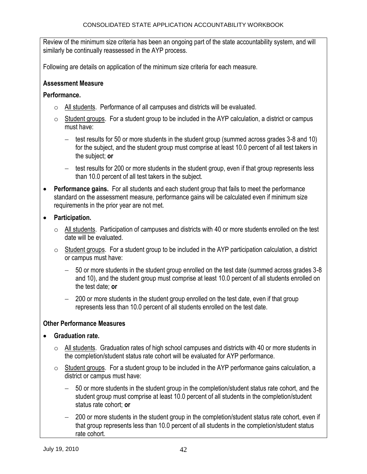Review of the minimum size criteria has been an ongoing part of the state accountability system, and will similarly be continually reassessed in the AYP process.

Following are details on application of the minimum size criteria for each measure.

## **Assessment Measure**

## **Performance.**

- o All students. Performance of all campuses and districts will be evaluated.
- $\circ$  Student groups. For a student group to be included in the AYP calculation, a district or campus must have:
	- $-$  test results for 50 or more students in the student group (summed across grades 3-8 and 10) for the subject, and the student group must comprise at least 10.0 percent of all test takers in the subject; **or**
	- $-$  test results for 200 or more students in the student group, even if that group represents less than 10.0 percent of all test takers in the subject.
- **Performance gains.** For all students and each student group that fails to meet the performance standard on the assessment measure, performance gains will be calculated even if minimum size requirements in the prior year are not met.
- **Participation.**
	- $\circ$  All students. Participation of campuses and districts with 40 or more students enrolled on the test date will be evaluated.
	- $\circ$  Student groups. For a student group to be included in the AYP participation calculation, a district or campus must have:
		- $-$  50 or more students in the student group enrolled on the test date (summed across grades 3-8 and 10), and the student group must comprise at least 10.0 percent of all students enrolled on the test date; **or**
		- 200 or more students in the student group enrolled on the test date, even if that group represents less than 10.0 percent of all students enrolled on the test date.

# **Other Performance Measures**

## **Graduation rate.**

- o All students. Graduation rates of high school campuses and districts with 40 or more students in the completion/student status rate cohort will be evaluated for AYP performance.
- $\circ$  Student groups. For a student group to be included in the AYP performance gains calculation, a district or campus must have:
	- 50 or more students in the student group in the completion/student status rate cohort, and the student group must comprise at least 10.0 percent of all students in the completion/student status rate cohort; **or**
	- 200 or more students in the student group in the completion/student status rate cohort, even if that group represents less than 10.0 percent of all students in the completion/student status rate cohort.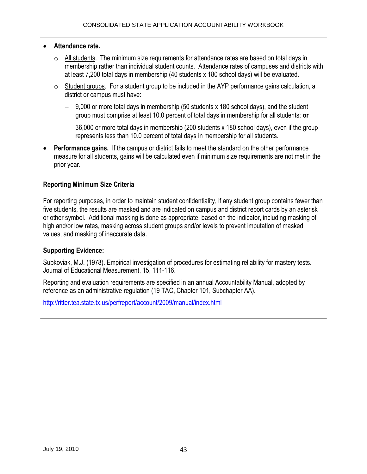#### **Attendance rate.**

- $\circ$  All students. The minimum size requirements for attendance rates are based on total days in membership rather than individual student counts. Attendance rates of campuses and districts with at least 7,200 total days in membership (40 students x 180 school days) will be evaluated.
- $\circ$  Student groups. For a student group to be included in the AYP performance gains calculation, a district or campus must have:
	- $-$  9,000 or more total days in membership (50 students x 180 school days), and the student group must comprise at least 10.0 percent of total days in membership for all students; **or**
	- 36,000 or more total days in membership (200 students x 180 school days), even if the group represents less than 10.0 percent of total days in membership for all students.
- **Performance gains.** If the campus or district fails to meet the standard on the other performance measure for all students, gains will be calculated even if minimum size requirements are not met in the prior year.

## **Reporting Minimum Size Criteria**

For reporting purposes, in order to maintain student confidentiality, if any student group contains fewer than five students, the results are masked and are indicated on campus and district report cards by an asterisk or other symbol. Additional masking is done as appropriate, based on the indicator, including masking of high and/or low rates, masking across student groups and/or levels to prevent imputation of masked values, and masking of inaccurate data.

## **Supporting Evidence:**

Subkoviak, M.J. (1978). Empirical investigation of procedures for estimating reliability for mastery tests. Journal of Educational Measurement, 15, 111-116.

Reporting and evaluation requirements are specified in an annual Accountability Manual, adopted by reference as an administrative regulation (19 TAC, Chapter 101, Subchapter AA).

<http://ritter.tea.state.tx.us/perfreport/account/2009/manual/index.html>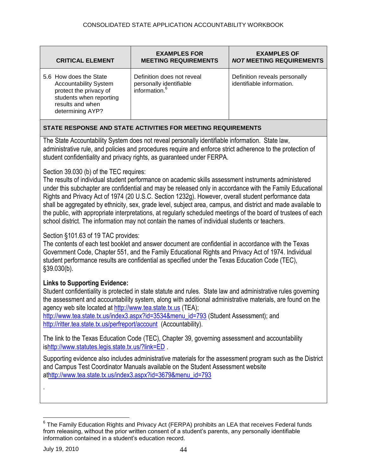| <b>CRITICAL ELEMENT</b>                                                                                                                             | <b>EXAMPLES FOR</b><br><b>MEETING REQUIREMENTS</b>                                 | <b>EXAMPLES OF</b><br><b>NOT MEETING REQUIREMENTS</b>      |
|-----------------------------------------------------------------------------------------------------------------------------------------------------|------------------------------------------------------------------------------------|------------------------------------------------------------|
| 5.6 How does the State<br><b>Accountability System</b><br>protect the privacy of<br>students when reporting<br>results and when<br>determining AYP? | Definition does not reveal<br>personally identifiable<br>information. <sup>6</sup> | Definition reveals personally<br>identifiable information. |

The State Accountability System does not reveal personally identifiable information. State law, administrative rule, and policies and procedures require and enforce strict adherence to the protection of student confidentiality and privacy rights, as guaranteed under FERPA.

## Section 39.030 (b) of the TEC requires:

The results of individual student performance on academic skills assessment instruments administered under this subchapter are confidential and may be released only in accordance with the Family Educational Rights and Privacy Act of 1974 (20 U.S.C. Section 1232g). However, overall student performance data shall be aggregated by ethnicity, sex, grade level, subject area, campus, and district and made available to the public, with appropriate interpretations, at regularly scheduled meetings of the board of trustees of each school district. The information may not contain the names of individual students or teachers.

# Section §101.63 of 19 TAC provides:

The contents of each test booklet and answer document are confidential in accordance with the Texas Government Code, Chapter 551, and the Family Educational Rights and Privacy Act of 1974. Individual student performance results are confidential as specified under the Texas Education Code (TEC), §39.030(b).

# **Links to Supporting Evidence:**

Student confidentiality is protected in state statute and rules. State law and administrative rules governing the assessment and accountability system, along with additional administrative materials, are found on the agency web site located a[t http://www.tea.state.tx.us](http://www.tea.state.tx.us/) (TEA);

[http://www.tea.state.tx.us/index3.aspx?id=3534&menu\\_id=793](http://www.tea.state.tx.us/index3.aspx?id=3534&menu_id=793) (Student Assessment); and <http://ritter.tea.state.tx.us/perfreport/account>(Accountability).

The link to the Texas Education Code (TEC), Chapter 39, governing assessment and accountability i[shttp://www.statutes.legis.state.tx.us/?link=ED](http://www.statutes.legis.state.tx.us/?link=ED) .

Supporting evidence also includes administrative materials for the assessment program such as the District and Campus Test Coordinator Manuals available on the Student Assessment website a[thttp://www.tea.state.tx.us/index3.aspx?id=3679&menu\\_id=793](http://www.tea.state.tx.us/index3.aspx?id=3679&menu_id=793)

.

 $\overline{a}$ 

 $^6$  The Family Education Rights and Privacy Act (FERPA) prohibits an LEA that receives Federal funds from releasing, without the prior written consent of a student's parents, any personally identifiable information contained in a student's education record.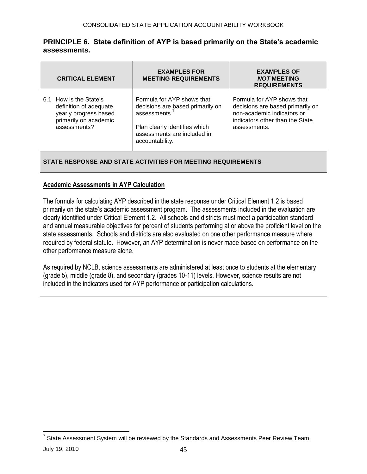## **PRINCIPLE 6. State definition of AYP is based primarily on the State's academic assessments.**

| <b>CRITICAL ELEMENT</b>                                                                                            | <b>EXAMPLES FOR</b><br><b>MEETING REQUIREMENTS</b>                                                                                                                             | <b>EXAMPLES OF</b><br><b>NOT MEETING</b><br><b>REQUIREMENTS</b>                                                                                 |
|--------------------------------------------------------------------------------------------------------------------|--------------------------------------------------------------------------------------------------------------------------------------------------------------------------------|-------------------------------------------------------------------------------------------------------------------------------------------------|
| 6.1 How is the State's<br>definition of adequate<br>yearly progress based<br>primarily on academic<br>assessments? | Formula for AYP shows that<br>decisions are based primarily on<br>assessments. <sup>7</sup><br>Plan clearly identifies which<br>assessments are included in<br>accountability. | Formula for AYP shows that<br>decisions are based primarily on<br>non-academic indicators or<br>indicators other than the State<br>assessments. |

# **STATE RESPONSE AND STATE ACTIVITIES FOR MEETING REQUIREMENTS**

# **Academic Assessments in AYP Calculation**

 $\overline{a}$ 

The formula for calculating AYP described in the state response under Critical Element 1.2 is based primarily on the state's academic assessment program. The assessments included in the evaluation are clearly identified under Critical Element 1.2. All schools and districts must meet a participation standard and annual measurable objectives for percent of students performing at or above the proficient level on the state assessments. Schools and districts are also evaluated on one other performance measure where required by federal statute. However, an AYP determination is never made based on performance on the other performance measure alone.

As required by NCLB, science assessments are administered at least once to students at the elementary (grade 5), middle (grade 8), and secondary (grades 10-11) levels. However, science results are not included in the indicators used for AYP performance or participation calculations.

July 19, 2010 45  $^7$  State Assessment System will be reviewed by the Standards and Assessments Peer Review Team.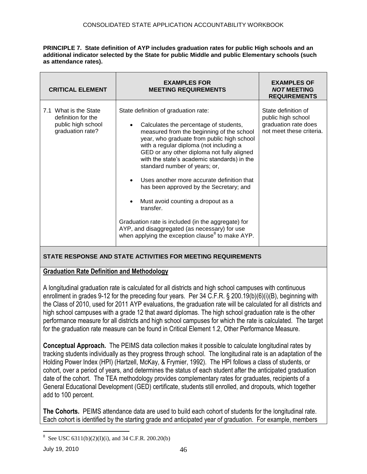| PRINCIPLE 7. State definition of AYP includes graduation rates for public High schools and an    |
|--------------------------------------------------------------------------------------------------|
| additional indicator selected by the State for public Middle and public Elementary schools (such |
| as attendance rates).                                                                            |

| <b>CRITICAL ELEMENT</b>                                                               | <b>EXAMPLES FOR</b><br><b>MEETING REQUIREMENTS</b>                                                                                                                                                                                                                                                                                                                                                                                                                                                                                                                                                                                                                    | <b>EXAMPLES OF</b><br><b>NOT MEETING</b><br><b>REQUIREMENTS</b>                               |
|---------------------------------------------------------------------------------------|-----------------------------------------------------------------------------------------------------------------------------------------------------------------------------------------------------------------------------------------------------------------------------------------------------------------------------------------------------------------------------------------------------------------------------------------------------------------------------------------------------------------------------------------------------------------------------------------------------------------------------------------------------------------------|-----------------------------------------------------------------------------------------------|
| 7.1 What is the State<br>definition for the<br>public high school<br>graduation rate? | State definition of graduation rate:<br>Calculates the percentage of students,<br>measured from the beginning of the school<br>year, who graduate from public high school<br>with a regular diploma (not including a<br>GED or any other diploma not fully aligned<br>with the state's academic standards) in the<br>standard number of years; or,<br>Uses another more accurate definition that<br>has been approved by the Secretary; and<br>Must avoid counting a dropout as a<br>transfer.<br>Graduation rate is included (in the aggregate) for<br>AYP, and disaggregated (as necessary) for use<br>when applying the exception clause <sup>8</sup> to make AYP. | State definition of<br>public high school<br>graduation rate does<br>not meet these criteria. |

## **Graduation Rate Definition and Methodology**

A longitudinal graduation rate is calculated for all districts and high school campuses with continuous enrollment in grades 9-12 for the preceding four years. Per 34 C.F.R. § 200.19(b)(6)(i)(B), beginning with the Class of 2010, used for 2011 AYP evaluations, the graduation rate will be calculated for all districts and high school campuses with a grade 12 that award diplomas. The high school graduation rate is the other performance measure for all districts and high school campuses for which the rate is calculated. The target for the graduation rate measure can be found in Critical Element 1.2, Other Performance Measure.

**Conceptual Approach.** The PEIMS data collection makes it possible to calculate longitudinal rates by tracking students individually as they progress through school. The longitudinal rate is an adaptation of the Holding Power Index (HPI) (Hartzell, McKay, & Frymier, 1992). The HPI follows a class of students, or cohort, over a period of years, and determines the status of each student after the anticipated graduation date of the cohort. The TEA methodology provides complementary rates for graduates, recipients of a General Educational Development (GED) certificate, students still enrolled, and dropouts, which together add to 100 percent.

**The Cohorts.** PEIMS attendance data are used to build each cohort of students for the longitudinal rate. Each cohort is identified by the starting grade and anticipated year of graduation. For example, members

 $\overline{a}$ 

<sup>&</sup>lt;sup>8</sup> See USC 6311(b)(2)(I)(i), and 34 C.F.R. 200.20(b)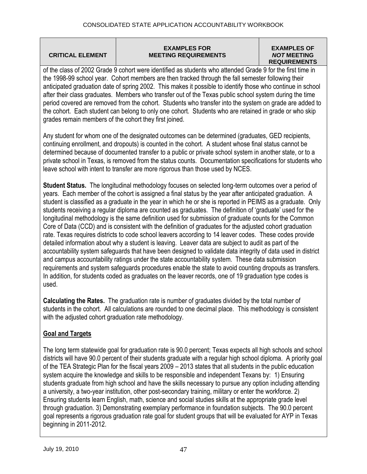# **CRITICAL ELEMENT**

#### **EXAMPLES FOR MEETING REQUIREMENTS**

#### **EXAMPLES OF** *NOT* **MEETING REQUIREMENTS**

of the class of 2002 Grade 9 cohort were identified as students who attended Grade 9 for the first time in the 1998-99 school year. Cohort members are then tracked through the fall semester following their anticipated graduation date of spring 2002. This makes it possible to identify those who continue in school after their class graduates. Members who transfer out of the Texas public school system during the time period covered are removed from the cohort. Students who transfer into the system on grade are added to the cohort. Each student can belong to only one cohort. Students who are retained in grade or who skip grades remain members of the cohort they first joined.

Any student for whom one of the designated outcomes can be determined (graduates, GED recipients, continuing enrollment, and dropouts) is counted in the cohort. A student whose final status cannot be determined because of documented transfer to a public or private school system in another state, or to a private school in Texas, is removed from the status counts. Documentation specifications for students who leave school with intent to transfer are more rigorous than those used by NCES.

**Student Status.** The longitudinal methodology focuses on selected long-term outcomes over a period of years. Each member of the cohort is assigned a final status by the year after anticipated graduation. A student is classified as a graduate in the year in which he or she is reported in PEIMS as a graduate. Only students receiving a regular diploma are counted as graduates. The definition of 'graduate' used for the longitudinal methodology is the same definition used for submission of graduate counts for the Common Core of Data (CCD) and is consistent with the definition of graduates for the adjusted cohort graduation rate. Texas requires districts to code school leavers according to 14 leaver codes. These codes provide detailed information about why a student is leaving. Leaver data are subject to audit as part of the accountability system safeguards that have been designed to validate data integrity of data used in district and campus accountability ratings under the state accountability system. These data submission requirements and system safeguards procedures enable the state to avoid counting dropouts as transfers. In addition, for students coded as graduates on the leaver records, one of 19 graduation type codes is used.

**Calculating the Rates.** The graduation rate is number of graduates divided by the total number of students in the cohort. All calculations are rounded to one decimal place. This methodology is consistent with the adjusted cohort graduation rate methodology.

# **Goal and Targets**

The long term statewide goal for graduation rate is 90.0 percent; Texas expects all high schools and school districts will have 90.0 percent of their students graduate with a regular high school diploma. A priority goal of the TEA Strategic Plan for the fiscal years 2009 – 2013 states that all students in the public education system acquire the knowledge and skills to be responsible and independent Texans by: 1) Ensuring students graduate from high school and have the skills necessary to pursue any option including attending a university, a two-year institution, other post-secondary training, military or enter the workforce. 2) Ensuring students learn English, math, science and social studies skills at the appropriate grade level through graduation. 3) Demonstrating exemplary performance in foundation subjects. The 90.0 percent goal represents a rigorous graduation rate goal for student groups that will be evaluated for AYP in Texas beginning in 2011-2012.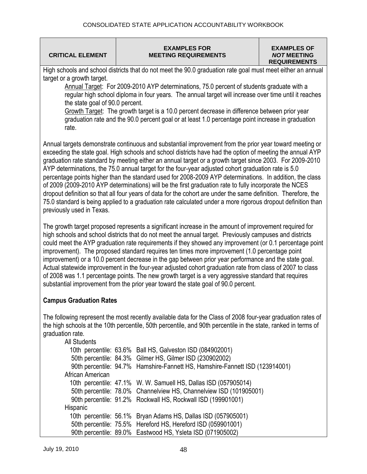| <b>CRITICAL ELEMENT</b>                                                                                                                                                                                                                                                                                                                                                                                                                                                                                                                                                                                                                                                                                                                                                                                                                                                                                                      | <b>EXAMPLES FOR</b><br><b>MEETING REQUIREMENTS</b>                                                                                                                                                                                                                                                                                                                                                                                                                                                                                    | <b>EXAMPLES OF</b><br><b>NOT MEETING</b><br><b>REQUIREMENTS</b> |  |
|------------------------------------------------------------------------------------------------------------------------------------------------------------------------------------------------------------------------------------------------------------------------------------------------------------------------------------------------------------------------------------------------------------------------------------------------------------------------------------------------------------------------------------------------------------------------------------------------------------------------------------------------------------------------------------------------------------------------------------------------------------------------------------------------------------------------------------------------------------------------------------------------------------------------------|---------------------------------------------------------------------------------------------------------------------------------------------------------------------------------------------------------------------------------------------------------------------------------------------------------------------------------------------------------------------------------------------------------------------------------------------------------------------------------------------------------------------------------------|-----------------------------------------------------------------|--|
| target or a growth target.<br>the state goal of 90.0 percent.<br>rate.                                                                                                                                                                                                                                                                                                                                                                                                                                                                                                                                                                                                                                                                                                                                                                                                                                                       | High schools and school districts that do not meet the 90.0 graduation rate goal must meet either an annual<br>Annual Target: For 2009-2010 AYP determinations, 75.0 percent of students graduate with a<br>regular high school diploma in four years. The annual target will increase over time until it reaches<br>Growth Target: The growth target is a 10.0 percent decrease in difference between prior year<br>graduation rate and the 90.0 percent goal or at least 1.0 percentage point increase in graduation                |                                                                 |  |
| Annual targets demonstrate continuous and substantial improvement from the prior year toward meeting or<br>exceeding the state goal. High schools and school districts have had the option of meeting the annual AYP<br>graduation rate standard by meeting either an annual target or a growth target since 2003. For 2009-2010<br>AYP determinations, the 75.0 annual target for the four-year adjusted cohort graduation rate is 5.0<br>percentage points higher than the standard used for 2008-2009 AYP determinations. In addition, the class<br>of 2009 (2009-2010 AYP determinations) will be the first graduation rate to fully incorporate the NCES<br>dropout definition so that all four years of data for the cohort are under the same definition. Therefore, the<br>75.0 standard is being applied to a graduation rate calculated under a more rigorous dropout definition than<br>previously used in Texas. |                                                                                                                                                                                                                                                                                                                                                                                                                                                                                                                                       |                                                                 |  |
|                                                                                                                                                                                                                                                                                                                                                                                                                                                                                                                                                                                                                                                                                                                                                                                                                                                                                                                              | The growth target proposed represents a significant increase in the amount of improvement required for<br>high schools and school districts that do not meet the annual target. Previously campuses and districts<br>could meet the AYP graduation rate requirements if they showed any improvement (or 0.1 percentage point<br>improvement). The proposed standard requires ten times more improvement (1.0 percentage point<br>improvement) or a 10.0 percent decrease in the gap between prior year performance and the state goal |                                                                 |  |

rovement) or a 10.0 percent decrease in the gap between prior year performance and the state goal. Actual statewide improvement in the four-year adjusted cohort graduation rate from class of 2007 to class of 2008 was 1.1 percentage points. The new growth target is a very aggressive standard that requires substantial improvement from the prior year toward the state goal of 90.0 percent.

# **Campus Graduation Rates**

The following represent the most recently available data for the Class of 2008 four-year graduation rates of the high schools at the 10th percentile, 50th percentile, and 90th percentile in the state, ranked in terms of graduation rate.

```
All Students
  10th percentile: 63.6% Ball HS, Galveston ISD (084902001)
   50th percentile: 84.3% Gilmer HS, Gilmer ISD (230902002)
   90th percentile: 94.7% Hamshire-Fannett HS, Hamshire-Fannett ISD (123914001)
African American
  10th percentile: 47.1% W. W. Samuell HS, Dallas ISD (057905014)
   50th percentile: 78.0% Channelview HS, Channelview ISD (101905001)
   90th percentile: 91.2% Rockwall HS, Rockwall ISD (199901001)
Hispanic
  10th percentile: 56.1% Bryan Adams HS, Dallas ISD (057905001)
   50th percentile: 75.5% Hereford HS, Hereford ISD (059901001)
   90th percentile: 89.0% Eastwood HS, Ysleta ISD (071905002)
```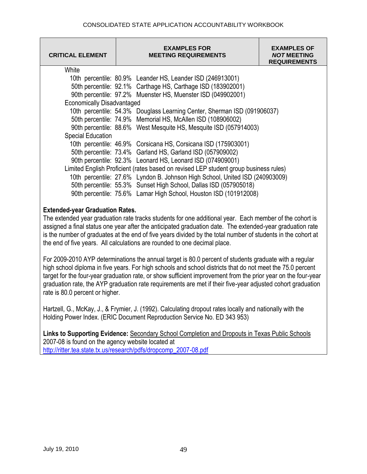| <b>CRITICAL ELEMENT</b>                | <b>EXAMPLES FOR</b><br><b>MEETING REQUIREMENTS</b>                                   | <b>EXAMPLES OF</b><br><b>NOT MEETING</b><br><b>REQUIREMENTS</b> |
|----------------------------------------|--------------------------------------------------------------------------------------|-----------------------------------------------------------------|
| White                                  |                                                                                      |                                                                 |
|                                        | 10th percentile: 80.9% Leander HS, Leander ISD (246913001)                           |                                                                 |
|                                        | 50th percentile: 92.1% Carthage HS, Carthage ISD (183902001)                         |                                                                 |
|                                        | 90th percentile: 97.2% Muenster HS, Muenster ISD (049902001)                         |                                                                 |
| <b>Economically Disadvantaged</b>      |                                                                                      |                                                                 |
|                                        | 10th percentile: 54.3% Douglass Learning Center, Sherman ISD (091906037)             |                                                                 |
|                                        | 50th percentile: 74.9% Memorial HS, McAllen ISD (108906002)                          |                                                                 |
|                                        | 90th percentile: 88.6% West Mesquite HS, Mesquite ISD (057914003)                    |                                                                 |
| <b>Special Education</b>               |                                                                                      |                                                                 |
|                                        | 10th percentile: 46.9% Corsicana HS, Corsicana ISD (175903001)                       |                                                                 |
|                                        | 50th percentile: 73.4% Garland HS, Garland ISD (057909002)                           |                                                                 |
|                                        | 90th percentile: 92.3% Leonard HS, Leonard ISD (074909001)                           |                                                                 |
|                                        | Limited English Proficient (rates based on revised LEP student group business rules) |                                                                 |
|                                        | 10th percentile: 27.6% Lyndon B. Johnson High School, United ISD (240903009)         |                                                                 |
|                                        | 50th percentile: 55.3% Sunset High School, Dallas ISD (057905018)                    |                                                                 |
|                                        | 90th percentile: 75.6% Lamar High School, Houston ISD (101912008)                    |                                                                 |
| <b>Extended-year Graduation Rates.</b> |                                                                                      |                                                                 |

The extended year graduation rate tracks students for one additional year. Each member of the cohort is assigned a final status one year after the anticipated graduation date. The extended-year graduation rate is the number of graduates at the end of five years divided by the total number of students in the cohort at the end of five years. All calculations are rounded to one decimal place.

For 2009-2010 AYP determinations the annual target is 80.0 percent of students graduate with a regular high school diploma in five years. For high schools and school districts that do not meet the 75.0 percent target for the four-year graduation rate, or show sufficient improvement from the prior year on the four-year graduation rate, the AYP graduation rate requirements are met if their five-year adjusted cohort graduation rate is 80.0 percent or higher.

Hartzell, G., McKay, J., & Frymier, J. (1992). Calculating dropout rates locally and nationally with the Holding Power Index. (ERIC Document Reproduction Service No. ED 343 953)

**Links to Supporting Evidence:** Secondary School Completion and Dropouts in Texas Public Schools 2007-08 is found on the agency website located at [http://ritter.tea.state.tx.us/research/pdfs/dropcomp\\_2007-08.pdf](http://ritter.tea.state.tx.us/research/pdfs/dropcomp_2007-08.pdf)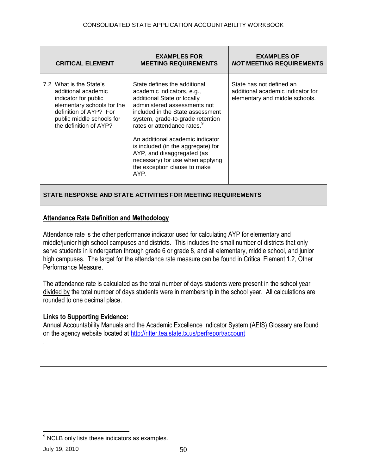| <b>CRITICAL ELEMENT</b>                                                                                                                                                               | <b>EXAMPLES FOR</b><br><b>MEETING REQUIREMENTS</b>                                                                                                                                                                                                                                                                                                                                                                               | <b>EXAMPLES OF</b><br><i>NOT</i> MEETING REQUIREMENTS                                           |
|---------------------------------------------------------------------------------------------------------------------------------------------------------------------------------------|----------------------------------------------------------------------------------------------------------------------------------------------------------------------------------------------------------------------------------------------------------------------------------------------------------------------------------------------------------------------------------------------------------------------------------|-------------------------------------------------------------------------------------------------|
| 7.2 What is the State's<br>additional academic<br>indicator for public<br>elementary schools for the<br>definition of AYP? For<br>public middle schools for<br>the definition of AYP? | State defines the additional<br>academic indicators, e.g.,<br>additional State or locally<br>administered assessments not<br>included in the State assessment<br>system, grade-to-grade retention<br>rates or attendance rates. <sup>9</sup><br>An additional academic indicator<br>is included (in the aggregate) for<br>AYP, and disaggregated (as<br>necessary) for use when applying<br>the exception clause to make<br>AYP. | State has not defined an<br>additional academic indicator for<br>elementary and middle schools. |

# **Attendance Rate Definition and Methodology**

Attendance rate is the other performance indicator used for calculating AYP for elementary and middle/junior high school campuses and districts. This includes the small number of districts that only serve students in kindergarten through grade 6 or grade 8, and all elementary, middle school, and junior high campuses. The target for the attendance rate measure can be found in Critical Element 1.2, Other Performance Measure.

The attendance rate is calculated as the total number of days students were present in the school year divided by the total number of days students were in membership in the school year. All calculations are rounded to one decimal place.

## **Links to Supporting Evidence:**

Annual Accountability Manuals and the Academic Excellence Indicator System (AEIS) Glossary are found on the agency website located at http://ritter.tea.state.tx.us/perfreport/account

.

 $\overline{a}$ 

<sup>&</sup>lt;sup>9</sup> NCLB only lists these indicators as examples.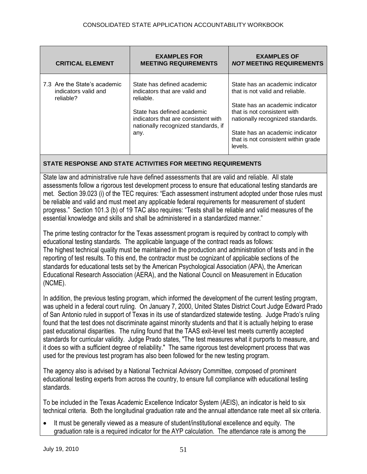| <b>CRITICAL ELEMENT</b>                                           | <b>EXAMPLES FOR</b><br><b>MEETING REQUIREMENTS</b>                                                                                                                                           | <b>EXAMPLES OF</b><br><b>NOT MEETING REQUIREMENTS</b>                                                                                                                                                                                                         |
|-------------------------------------------------------------------|----------------------------------------------------------------------------------------------------------------------------------------------------------------------------------------------|---------------------------------------------------------------------------------------------------------------------------------------------------------------------------------------------------------------------------------------------------------------|
| 7.3 Are the State's academic<br>indicators valid and<br>reliable? | State has defined academic<br>indicators that are valid and<br>reliable.<br>State has defined academic<br>indicators that are consistent with<br>nationally recognized standards, if<br>any. | State has an academic indicator<br>that is not valid and reliable.<br>State has an academic indicator<br>that is not consistent with<br>nationally recognized standards.<br>State has an academic indicator<br>that is not consistent within grade<br>levels. |

State law and administrative rule have defined assessments that are valid and reliable. All state assessments follow a rigorous test development process to ensure that educational testing standards are met. Section 39.023 (i) of the TEC requires: "Each assessment instrument adopted under those rules must be reliable and valid and must meet any applicable federal requirements for measurement of student progress." Section 101.3 (b) of 19 TAC also requires: "Tests shall be reliable and valid measures of the essential knowledge and skills and shall be administered in a standardized manner."

The prime testing contractor for the Texas assessment program is required by contract to comply with educational testing standards. The applicable language of the contract reads as follows: The highest technical quality must be maintained in the production and administration of tests and in the reporting of test results. To this end, the contractor must be cognizant of applicable sections of the standards for educational tests set by the American Psychological Association (APA), the American Educational Research Association (AERA), and the National Council on Measurement in Education (NCME).

In addition, the previous testing program, which informed the development of the current testing program, was upheld in a federal court ruling. On January 7, 2000, United States District Court Judge Edward Prado of San Antonio ruled in support of Texas in its use of standardized statewide testing. Judge Prado's ruling found that the test does not discriminate against minority students and that it is actually helping to erase past educational disparities. The ruling found that the TAAS exit-level test meets currently accepted standards for curricular validity. Judge Prado states, "The test measures what it purports to measure, and it does so with a sufficient degree of reliability." The same rigorous test development process that was used for the previous test program has also been followed for the new testing program.

The agency also is advised by a National Technical Advisory Committee, composed of prominent educational testing experts from across the country, to ensure full compliance with educational testing standards.

To be included in the Texas Academic Excellence Indicator System (AEIS), an indicator is held to six technical criteria. Both the longitudinal graduation rate and the annual attendance rate meet all six criteria.

 It must be generally viewed as a measure of student/institutional excellence and equity. The graduation rate is a required indicator for the AYP calculation. The attendance rate is among the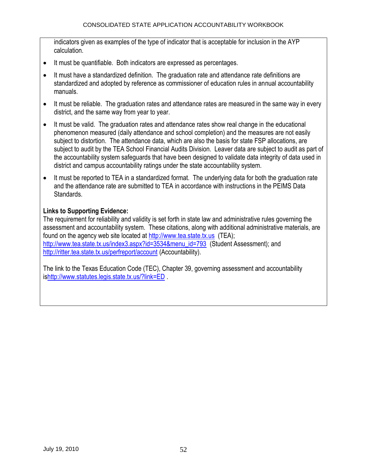indicators given as examples of the type of indicator that is acceptable for inclusion in the AYP calculation.

- It must be quantifiable. Both indicators are expressed as percentages.
- It must have a standardized definition. The graduation rate and attendance rate definitions are standardized and adopted by reference as commissioner of education rules in annual accountability manuals.
- It must be reliable. The graduation rates and attendance rates are measured in the same way in every district, and the same way from year to year.
- It must be valid. The graduation rates and attendance rates show real change in the educational phenomenon measured (daily attendance and school completion) and the measures are not easily subject to distortion. The attendance data, which are also the basis for state FSP allocations, are subject to audit by the TEA School Financial Audits Division. Leaver data are subject to audit as part of the accountability system safeguards that have been designed to validate data integrity of data used in district and campus accountability ratings under the state accountability system.
- It must be reported to TEA in a standardized format. The underlying data for both the graduation rate and the attendance rate are submitted to TEA in accordance with instructions in the PEIMS Data **Standards**

## **Links to Supporting Evidence:**

The requirement for reliability and validity is set forth in state law and administrative rules governing the assessment and accountability system. These citations, along with additional administrative materials, are found on the agency web site located at [http://www.tea.state.tx.us](http://www.tea.state.tx.us/) (TEA); [http://www.tea.state.tx.us/index3.aspx?id=3534&menu\\_id=793](http://www.tea.state.tx.us/index3.aspx?id=3534&menu_id=793) (Student Assessment); and <http://ritter.tea.state.tx.us/perfreport/account> (Accountability).

The link to the Texas Education Code (TEC), Chapter 39, governing assessment and accountability i[shttp://www.statutes.legis.state.tx.us/?link=ED](http://www.statutes.legis.state.tx.us/?link=ED) .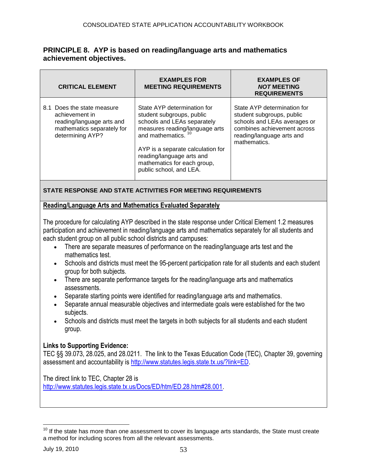## **PRINCIPLE 8. AYP is based on reading/language arts and mathematics achievement objectives.**

| <b>CRITICAL ELEMENT</b>                                                                                                     | <b>EXAMPLES FOR</b><br><b>MEETING REQUIREMENTS</b>                                                                                                                                                                                                                        | <b>EXAMPLES OF</b><br><b>NOT MEETING</b><br><b>REQUIREMENTS</b>                                                                                                      |
|-----------------------------------------------------------------------------------------------------------------------------|---------------------------------------------------------------------------------------------------------------------------------------------------------------------------------------------------------------------------------------------------------------------------|----------------------------------------------------------------------------------------------------------------------------------------------------------------------|
| 8.1 Does the state measure<br>achievement in<br>reading/language arts and<br>mathematics separately for<br>determining AYP? | State AYP determination for<br>student subgroups, public<br>schools and LEAs separately<br>measures reading/language arts<br>and mathematics.<br>AYP is a separate calculation for<br>reading/language arts and<br>mathematics for each group,<br>public school, and LEA. | State AYP determination for<br>student subgroups, public<br>schools and LEAs averages or<br>combines achievement across<br>reading/language arts and<br>mathematics. |

#### **STATE RESPONSE AND STATE ACTIVITIES FOR MEETING REQUIREMENTS**

## **Reading/Language Arts and Mathematics Evaluated Separately**

The procedure for calculating AYP described in the state response under Critical Element 1.2 measures participation and achievement in reading/language arts and mathematics separately for all students and each student group on all public school districts and campuses:

- There are separate measures of performance on the reading/language arts test and the mathematics test.
- Schools and districts must meet the 95-percent participation rate for all students and each student group for both subjects.
- There are separate performance targets for the reading/language arts and mathematics assessments.
- Separate starting points were identified for reading/language arts and mathematics.
- Separate annual measurable objectives and intermediate goals were established for the two subjects.
- Schools and districts must meet the targets in both subjects for all students and each student group.

## **Links to Supporting Evidence:**

TEC §§ 39.073, 28.025, and 28.0211. The link to the Texas Education Code (TEC), Chapter 39, governing assessment and accountability is [http://www.statutes.legis.state.tx.us/?link=ED.](http://www.statutes.legis.state.tx.us/?link=ED)

The direct link to TEC, Chapter 28 is [http://www.statutes.legis.state.tx.us/Docs/ED/htm/ED.28.htm#28.001.](http://www.statutes.legis.state.tx.us/Docs/ED/htm/ED.28.htm#28.001)

 $\overline{a}$ 

 $10$  If the state has more than one assessment to cover its language arts standards, the State must create a method for including scores from all the relevant assessments.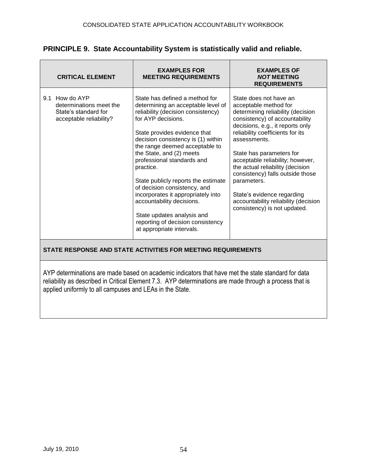| <b>CRITICAL ELEMENT</b>                                                                         | <b>EXAMPLES FOR</b><br><b>MEETING REQUIREMENTS</b>                                                                                                                                                                                                                                                                                                                                                                                                                                                                                                        | <b>EXAMPLES OF</b><br><b>NOT MEETING</b><br><b>REQUIREMENTS</b>                                                                                                                                                                                                                                                                                                                                                                                                             |
|-------------------------------------------------------------------------------------------------|-----------------------------------------------------------------------------------------------------------------------------------------------------------------------------------------------------------------------------------------------------------------------------------------------------------------------------------------------------------------------------------------------------------------------------------------------------------------------------------------------------------------------------------------------------------|-----------------------------------------------------------------------------------------------------------------------------------------------------------------------------------------------------------------------------------------------------------------------------------------------------------------------------------------------------------------------------------------------------------------------------------------------------------------------------|
| How do AYP<br>9.1<br>determinations meet the<br>State's standard for<br>acceptable reliability? | State has defined a method for<br>determining an acceptable level of<br>reliability (decision consistency)<br>for AYP decisions.<br>State provides evidence that<br>decision consistency is (1) within<br>the range deemed acceptable to<br>the State, and (2) meets<br>professional standards and<br>practice.<br>State publicly reports the estimate<br>of decision consistency, and<br>incorporates it appropriately into<br>accountability decisions.<br>State updates analysis and<br>reporting of decision consistency<br>at appropriate intervals. | State does not have an<br>acceptable method for<br>determining reliability (decision<br>consistency) of accountability<br>decisions, e.g., it reports only<br>reliability coefficients for its<br>assessments.<br>State has parameters for<br>acceptable reliability; however,<br>the actual reliability (decision<br>consistency) falls outside those<br>parameters.<br>State's evidence regarding<br>accountability reliability (decision<br>consistency) is not updated. |

AYP determinations are made based on academic indicators that have met the state standard for data reliability as described in Critical Element 7.3. AYP determinations are made through a process that is applied uniformly to all campuses and LEAs in the State.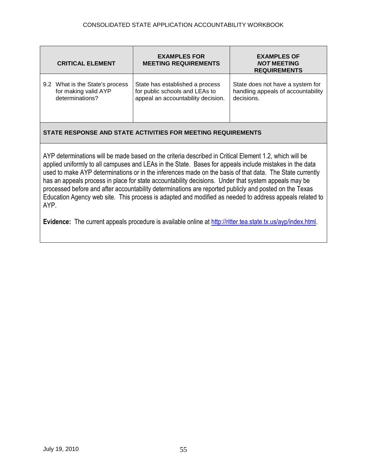|                                                                                                                                                                                                                                                                                                                                                                                                                                                                                                                                                                                                                                                                    | <b>CRITICAL ELEMENT</b>                                                    | <b>EXAMPLES FOR</b><br><b>MEETING REQUIREMENTS</b>                                                      | <b>EXAMPLES OF</b><br><b>NOT MEETING</b><br><b>REQUIREMENTS</b>                      |
|--------------------------------------------------------------------------------------------------------------------------------------------------------------------------------------------------------------------------------------------------------------------------------------------------------------------------------------------------------------------------------------------------------------------------------------------------------------------------------------------------------------------------------------------------------------------------------------------------------------------------------------------------------------------|----------------------------------------------------------------------------|---------------------------------------------------------------------------------------------------------|--------------------------------------------------------------------------------------|
|                                                                                                                                                                                                                                                                                                                                                                                                                                                                                                                                                                                                                                                                    | 9.2 What is the State's process<br>for making valid AYP<br>determinations? | State has established a process<br>for public schools and LEAs to<br>appeal an accountability decision. | State does not have a system for<br>handling appeals of accountability<br>decisions. |
| STATE RESPONSE AND STATE ACTIVITIES FOR MEETING REQUIREMENTS                                                                                                                                                                                                                                                                                                                                                                                                                                                                                                                                                                                                       |                                                                            |                                                                                                         |                                                                                      |
| AYP determinations will be made based on the criteria described in Critical Element 1.2, which will be<br>applied uniformly to all campuses and LEAs in the State. Bases for appeals include mistakes in the data<br>used to make AYP determinations or in the inferences made on the basis of that data. The State currently<br>has an appeals process in place for state accountability decisions. Under that system appeals may be<br>processed before and after accountability determinations are reported publicly and posted on the Texas<br>Education Agency web site. This process is adapted and modified as needed to address appeals related to<br>AYP. |                                                                            |                                                                                                         |                                                                                      |

**Evidence:** The current appeals procedure is available online at [http://ritter.tea.state.tx.us/ayp/index.html.](http://ritter.tea.state.tx.us/ayp/index.html)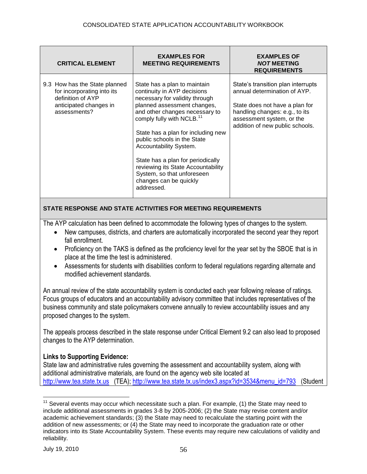| <b>CRITICAL ELEMENT</b>                                                                                                    | <b>EXAMPLES FOR</b><br><b>MEETING REQUIREMENTS</b>                                                                                                                                                                                                                                                                                                                                                                                                      | <b>EXAMPLES OF</b><br><b>NOT MEETING</b><br><b>REQUIREMENTS</b>                                                                                                                                        |
|----------------------------------------------------------------------------------------------------------------------------|---------------------------------------------------------------------------------------------------------------------------------------------------------------------------------------------------------------------------------------------------------------------------------------------------------------------------------------------------------------------------------------------------------------------------------------------------------|--------------------------------------------------------------------------------------------------------------------------------------------------------------------------------------------------------|
| 9.3 How has the State planned<br>for incorporating into its<br>definition of AYP<br>anticipated changes in<br>assessments? | State has a plan to maintain<br>continuity in AYP decisions<br>necessary for validity through<br>planned assessment changes,<br>and other changes necessary to<br>comply fully with NCLB. <sup>11</sup><br>State has a plan for including new<br>public schools in the State<br>Accountability System.<br>State has a plan for periodically<br>reviewing its State Accountability<br>System, so that unforeseen<br>changes can be quickly<br>addressed. | State's transition plan interrupts<br>annual determination of AYP.<br>State does not have a plan for<br>handling changes: e.g., to its<br>assessment system, or the<br>addition of new public schools. |

The AYP calculation has been defined to accommodate the following types of changes to the system.

- New campuses, districts, and charters are automatically incorporated the second year they report fall enrollment.
- Proficiency on the TAKS is defined as the proficiency level for the year set by the SBOE that is in place at the time the test is administered.
- Assessments for students with disabilities conform to federal regulations regarding alternate and modified achievement standards.

An annual review of the state accountability system is conducted each year following release of ratings. Focus groups of educators and an accountability advisory committee that includes representatives of the business community and state policymakers convene annually to review accountability issues and any proposed changes to the system.

The appeals process described in the state response under Critical Element 9.2 can also lead to proposed changes to the AYP determination.

## **Links to Supporting Evidence:**

State law and administrative rules governing the assessment and accountability system, along with additional administrative materials, are found on the agency web site located at [http://www.tea.state.tx.us](http://www.tea.state.tx.us/) (TEA); [http://www.tea.state.tx.us/index3.aspx?id=3534&menu\\_id=793](http://www.tea.state.tx.us/index3.aspx?id=3534&menu_id=793) (Student

 $\overline{a}$ 

 $11$  Several events may occur which necessitate such a plan. For example, (1) the State may need to include additional assessments in grades 3-8 by 2005-2006; (2) the State may revise content and/or academic achievement standards; (3) the State may need to recalculate the starting point with the addition of new assessments; or (4) the State may need to incorporate the graduation rate or other indicators into its State Accountability System. These events may require new calculations of validity and reliability.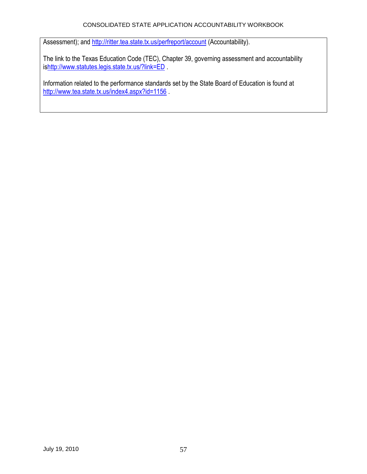#### CONSOLIDATED STATE APPLICATION ACCOUNTABILITY WORKBOOK

Assessment); and<http://ritter.tea.state.tx.us/perfreport/account> (Accountability).

The link to the Texas Education Code (TEC), Chapter 39, governing assessment and accountability i[shttp://www.statutes.legis.state.tx.us/?link=ED](http://www.statutes.legis.state.tx.us/?link=ED) .

Information related to the performance standards set by the State Board of Education is found at <http://www.tea.state.tx.us/index4.aspx?id=1156>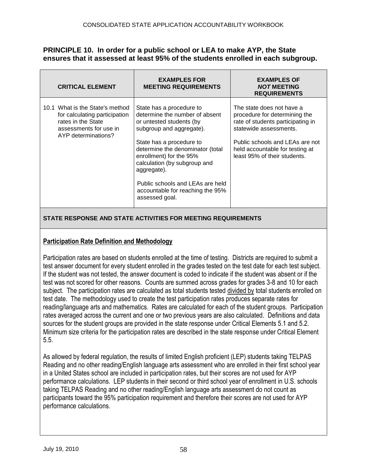# **PRINCIPLE 10. In order for a public school or LEA to make AYP, the State ensures that it assessed at least 95% of the students enrolled in each subgroup.**

| <b>CRITICAL ELEMENT</b>                                                                                                                 | <b>EXAMPLES FOR</b><br><b>MEETING REQUIREMENTS</b>                                                                                                                                                                                                                                                                                                     | <b>EXAMPLES OF</b><br><b>NOT MEETING</b><br><b>REQUIREMENTS</b>                                                                                                                                                                 |
|-----------------------------------------------------------------------------------------------------------------------------------------|--------------------------------------------------------------------------------------------------------------------------------------------------------------------------------------------------------------------------------------------------------------------------------------------------------------------------------------------------------|---------------------------------------------------------------------------------------------------------------------------------------------------------------------------------------------------------------------------------|
| 10.1 What is the State's method<br>for calculating participation<br>rates in the State<br>assessments for use in<br>AYP determinations? | State has a procedure to<br>determine the number of absent<br>or untested students (by<br>subgroup and aggregate).<br>State has a procedure to<br>determine the denominator (total<br>enrollment) for the 95%<br>calculation (by subgroup and<br>aggregate).<br>Public schools and LEAs are held<br>accountable for reaching the 95%<br>assessed goal. | The state does not have a<br>procedure for determining the<br>rate of students participating in<br>statewide assessments.<br>Public schools and LEAs are not<br>held accountable for testing at<br>least 95% of their students. |

## **STATE RESPONSE AND STATE ACTIVITIES FOR MEETING REQUIREMENTS**

# **Participation Rate Definition and Methodology**

Participation rates are based on students enrolled at the time of testing. Districts are required to submit a test answer document for every student enrolled in the grades tested on the test date for each test subject. If the student was not tested, the answer document is coded to indicate if the student was absent or if the test was not scored for other reasons. Counts are summed across grades for grades 3-8 and 10 for each subject. The participation rates are calculated as total students tested divided by total students enrolled on test date. The methodology used to create the test participation rates produces separate rates for reading/language arts and mathematics. Rates are calculated for each of the student groups. Participation rates averaged across the current and one or two previous years are also calculated. Definitions and data sources for the student groups are provided in the state response under Critical Elements 5.1 and 5.2. Minimum size criteria for the participation rates are described in the state response under Critical Element 5.5.

As allowed by federal regulation, the results of limited English proficient (LEP) students taking TELPAS Reading and no other reading/English language arts assessment who are enrolled in their first school year in a United States school are included in participation rates, but their scores are not used for AYP performance calculations. LEP students in their second or third school year of enrollment in U.S. schools taking TELPAS Reading and no other reading/English language arts assessment do not count as participants toward the 95% participation requirement and therefore their scores are not used for AYP performance calculations.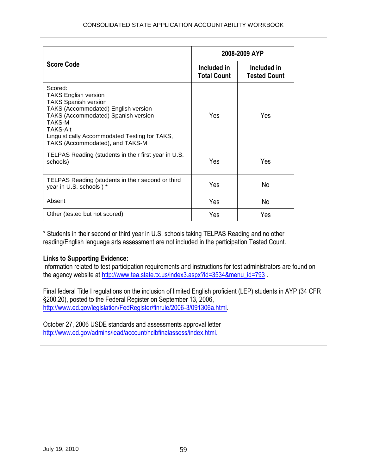|                                                                                                                                                                                                                                                                      | 2008-2009 AYP                     |                                    |
|----------------------------------------------------------------------------------------------------------------------------------------------------------------------------------------------------------------------------------------------------------------------|-----------------------------------|------------------------------------|
| <b>Score Code</b>                                                                                                                                                                                                                                                    | Included in<br><b>Total Count</b> | Included in<br><b>Tested Count</b> |
| Scored:<br><b>TAKS English version</b><br><b>TAKS Spanish version</b><br>TAKS (Accommodated) English version<br>TAKS (Accommodated) Spanish version<br>TAKS-M<br><b>TAKS-Alt</b><br>Linguistically Accommodated Testing for TAKS,<br>TAKS (Accommodated), and TAKS-M | Yes                               | Yes                                |
| TELPAS Reading (students in their first year in U.S.<br>schools)                                                                                                                                                                                                     | Yes                               | Yes                                |
| TELPAS Reading (students in their second or third<br>year in U.S. schools ) *                                                                                                                                                                                        | Yes                               | No                                 |
| Absent                                                                                                                                                                                                                                                               | Yes                               | No                                 |
| Other (tested but not scored)                                                                                                                                                                                                                                        | Yes                               | Yes                                |

\* Students in their second or third year in U.S. schools taking TELPAS Reading and no other reading/English language arts assessment are not included in the participation Tested Count.

# **Links to Supporting Evidence:**

Information related to test participation requirements and instructions for test administrators are found on the agency website at [http://www.tea.state.tx.us/index3.aspx?id=3534&menu\\_id=793](http://www.tea.state.tx.us/index3.aspx?id=3534&menu_id=793).

Final federal Title I regulations on the inclusion of limited English proficient (LEP) students in AYP (34 CFR §200.20), posted to the Federal Register on September 13, 2006, [http://www.ed.gov/legislation/FedRegister/finrule/2006-3/091306a.html.](http://www.ed.gov/legislation/FedRegister/finrule/2006-3/091306a.html)

October 27, 2006 USDE standards and assessments approval letter [http://www.ed.gov/admins/lead/account/nclbfinalassess/index.html.](http://www.ed.gov/admins/lead/account/nclbfinalassess/index.html)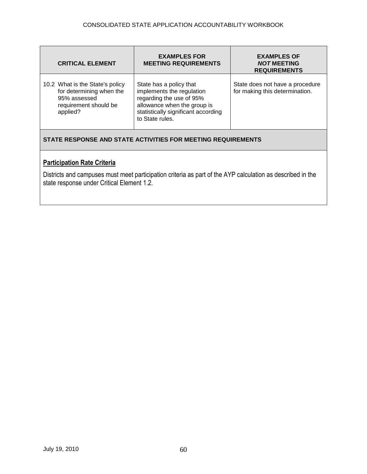| <b>CRITICAL ELEMENT</b>                                                                                          | <b>EXAMPLES FOR</b><br><b>MEETING REQUIREMENTS</b>                                                                                                                        | <b>EXAMPLES OF</b><br><b>NOT MEETING</b><br><b>REQUIREMENTS</b>   |
|------------------------------------------------------------------------------------------------------------------|---------------------------------------------------------------------------------------------------------------------------------------------------------------------------|-------------------------------------------------------------------|
| 10.2 What is the State's policy<br>for determining when the<br>95% assessed<br>requirement should be<br>applied? | State has a policy that<br>implements the regulation<br>regarding the use of 95%<br>allowance when the group is<br>statistically significant according<br>to State rules. | State does not have a procedure<br>for making this determination. |

# **Participation Rate Criteria**

Districts and campuses must meet participation criteria as part of the AYP calculation as described in the state response under Critical Element 1.2.